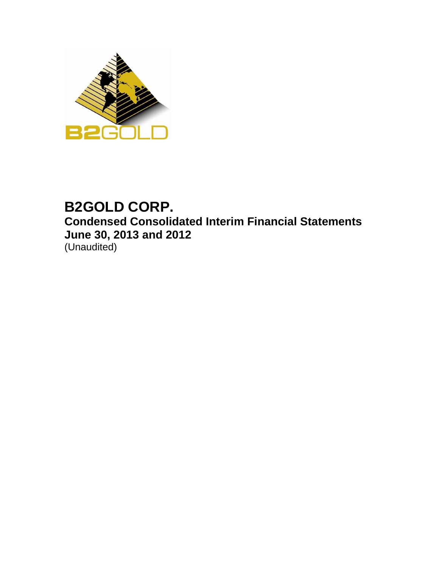

# **B2GOLD CORP. Condensed Consolidated Interim Financial Statements June 30, 2013 and 2012** (Unaudited)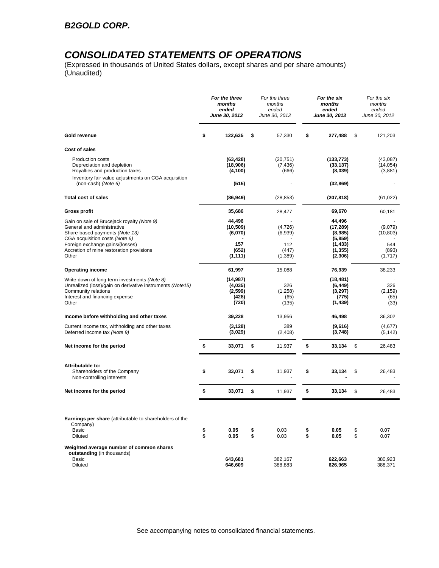## *CONSOLIDATED STATEMENTS OF OPERATIONS*

(Expressed in thousands of United States dollars, except shares and per share amounts) (Unaudited)

|                                                                                                                                                                             |          | For the three<br>months<br>ended<br>June 30, 2013 |          | For the three<br>months<br>ended<br>June 30, 2012 |          | For the six<br>months<br>ended<br><b>June 30, 2013</b> |          | For the six<br>months<br>ended<br>June 30, 2012 |
|-----------------------------------------------------------------------------------------------------------------------------------------------------------------------------|----------|---------------------------------------------------|----------|---------------------------------------------------|----------|--------------------------------------------------------|----------|-------------------------------------------------|
| Gold revenue                                                                                                                                                                | \$       | 122,635                                           | \$       | 57,330                                            | \$       | 277,488                                                | \$       | 121,203                                         |
| Cost of sales                                                                                                                                                               |          |                                                   |          |                                                   |          |                                                        |          |                                                 |
| <b>Production costs</b><br>Depreciation and depletion<br>Royalties and production taxes<br>Inventory fair value adjustments on CGA acquisition<br>(non-cash) (Note 6)       |          | (63, 428)<br>(18,906)<br>(4, 100)<br>(515)        |          | (20, 751)<br>(7, 436)<br>(666)                    |          | (133, 773)<br>(33, 137)<br>(8,039)<br>(32, 869)        |          | (43,087)<br>(14, 054)<br>(3,881)                |
|                                                                                                                                                                             |          |                                                   |          |                                                   |          |                                                        |          |                                                 |
| <b>Total cost of sales</b>                                                                                                                                                  |          | (86, 949)                                         |          | (28, 853)                                         |          | (207, 818)                                             |          | (61, 022)                                       |
| <b>Gross profit</b>                                                                                                                                                         |          | 35,686                                            |          | 28,477                                            |          | 69,670                                                 |          | 60,181                                          |
| Gain on sale of Brucejack royalty (Note 9)<br>General and administrative<br>Share-based payments (Note 13)<br>CGA acquisition costs (Note 6)                                |          | 44,496<br>(10, 509)<br>(6,070)                    |          | (4, 726)<br>(6,939)                               |          | 44,496<br>(17, 289)<br>(8,985)<br>(5,859)              |          | (9,079)<br>(10, 803)                            |
| Foreign exchange gains/(losses)<br>Accretion of mine restoration provisions<br>Other                                                                                        |          | 157<br>(652)<br>(1, 111)                          |          | 112<br>(447)<br>(1,389)                           |          | (1, 433)<br>(1, 355)<br>(2,306)                        |          | 544<br>(893)<br>(1, 717)                        |
| <b>Operating income</b>                                                                                                                                                     |          | 61,997                                            |          | 15,088                                            |          | 76,939                                                 |          | 38,233                                          |
| Write-down of long-term investments (Note 8)<br>Unrealized (loss)/gain on derivative instruments (Note15)<br>Community relations<br>Interest and financing expense<br>Other |          | (14,987)<br>(4,035)<br>(2,599)<br>(428)<br>(720)  |          | 326<br>(1,258)<br>(65)<br>(135)                   |          | (18, 481)<br>(6, 449)<br>(3,297)<br>(775)<br>(1, 439)  |          | 326<br>(2, 159)<br>(65)<br>(33)                 |
| Income before withholding and other taxes                                                                                                                                   |          | 39,228                                            |          | 13,956                                            |          | 46,498                                                 |          | 36,302                                          |
| Current income tax, withholding and other taxes<br>Deferred income tax (Note 9)                                                                                             |          | (3, 128)<br>(3,029)                               |          | 389<br>(2,408)                                    |          | (9,616)<br>(3,748)                                     |          | (4,677)<br>(5, 142)                             |
| Net income for the period                                                                                                                                                   | \$       | 33,071                                            | \$       | 11,937                                            | \$       | 33,134                                                 | \$       | 26,483                                          |
| Attributable to:<br>Shareholders of the Company<br>Non-controlling interests                                                                                                | \$       | 33,071                                            | \$       | 11,937                                            | \$       | 33,134                                                 | \$       | 26,483                                          |
| Net income for the period                                                                                                                                                   | \$       | 33,071                                            | \$       | 11,937                                            | \$       | 33,134                                                 | \$       | 26,483                                          |
| Earnings per share (attributable to shareholders of the<br>Company)<br>Basic<br><b>Diluted</b>                                                                              | \$<br>\$ | 0.05<br>0.05                                      | \$<br>\$ | 0.03<br>0.03                                      | \$<br>\$ | 0.05<br>0.05                                           | \$<br>\$ | 0.07<br>0.07                                    |
| Weighted average number of common shares<br>outstanding (in thousands)<br>Basic<br>Diluted                                                                                  |          | 643,681<br>646,609                                |          | 382,167<br>388,883                                |          | 622,663<br>626,965                                     |          | 380,923<br>388,371                              |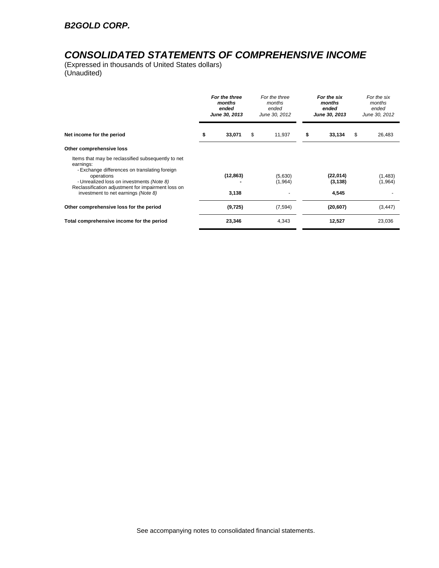## *CONSOLIDATED STATEMENTS OF COMPREHENSIVE INCOME*

(Expressed in thousands of United States dollars) (Unaudited)

|                                                                                                                  | For the three<br>months<br>ended<br>June 30, 2013 | For the three<br>months<br>ended<br>June 30, 2012 | For the six<br>months<br>ended<br>June 30, 2013 |   | For the six<br>months<br>ended<br>June 30, 2012 |
|------------------------------------------------------------------------------------------------------------------|---------------------------------------------------|---------------------------------------------------|-------------------------------------------------|---|-------------------------------------------------|
| Net income for the period                                                                                        | \$<br>33,071                                      | \$<br>11,937                                      | \$<br>33,134                                    | S | 26,483                                          |
| Other comprehensive loss                                                                                         |                                                   |                                                   |                                                 |   |                                                 |
| Items that may be reclassified subsequently to net<br>earnings:<br>- Exchange differences on translating foreign |                                                   |                                                   |                                                 |   |                                                 |
| operations<br>- Unrealized loss on investments (Note 8)<br>Reclassification adjustment for impairment loss on    | (12, 863)                                         | (5,630)<br>(1,964)                                | (22, 014)<br>(3, 138)                           |   | (1,483)<br>(1,964)                              |
| investment to net earnings (Note 8)                                                                              | 3,138                                             |                                                   | 4,545                                           |   |                                                 |
| Other comprehensive loss for the period                                                                          | (9,725)                                           | (7, 594)                                          | (20, 607)                                       |   | (3, 447)                                        |
| Total comprehensive income for the period                                                                        | 23,346                                            | 4,343                                             | 12,527                                          |   | 23,036                                          |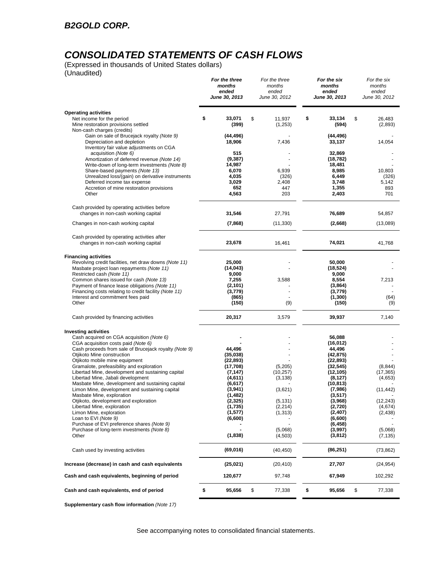# *CONSOLIDATED STATEMENTS OF CASH FLOWS*

(Expressed in thousands of United States dollars) (Unaudited)

|                                                                                                                                                                                                                                                                             | For the three<br>months<br>ended<br>June 30, 2013                  | For the three<br>months<br>ended<br>June 30, 2012 | For the six<br>months<br>ended<br>June 30, 2013                         | For the six<br>months<br>ended<br>June 30, 2012 |
|-----------------------------------------------------------------------------------------------------------------------------------------------------------------------------------------------------------------------------------------------------------------------------|--------------------------------------------------------------------|---------------------------------------------------|-------------------------------------------------------------------------|-------------------------------------------------|
| <b>Operating activities</b>                                                                                                                                                                                                                                                 |                                                                    |                                                   |                                                                         |                                                 |
| Net income for the period<br>Mine restoration provisions settled<br>Non-cash charges (credits)                                                                                                                                                                              | \$<br>33,071<br>(399)                                              | \$<br>11,937<br>(1,253)                           | \$<br>33,134<br>(594)                                                   | \$<br>26,483<br>(2,893)                         |
| Gain on sale of Brucejack royalty (Note 9)<br>Depreciation and depletion<br>Inventory fair value adjustments on CGA                                                                                                                                                         | (44, 496)<br>18,906                                                | 7,436                                             | (44, 496)<br>33,137                                                     | 14,054                                          |
| acquisition (Note 6)<br>Amortization of deferred revenue (Note 14)<br>Write-down of long-term investments (Note 8)                                                                                                                                                          | 515<br>(9, 387)<br>14,987                                          |                                                   | 32,869<br>(18, 782)<br>18,481                                           |                                                 |
| Share-based payments (Note 13)<br>Unrealized loss/(gain) on derivative instruments                                                                                                                                                                                          | 6,070<br>4,035                                                     | 6,939<br>(326)                                    | 8,985<br>6,449                                                          | 10,803<br>(326)                                 |
| Deferred income tax expense<br>Accretion of mine restoration provisions<br>Other                                                                                                                                                                                            | 3,029<br>652<br>4,563                                              | 2,408<br>447<br>203                               | 3,748<br>1,355<br>2,403                                                 | 5,142<br>893<br>701                             |
| Cash provided by operating activities before<br>changes in non-cash working capital                                                                                                                                                                                         | 31,546                                                             | 27,791                                            | 76,689                                                                  | 54,857                                          |
| Changes in non-cash working capital                                                                                                                                                                                                                                         | (7,868)                                                            | (11, 330)                                         | (2,668)                                                                 | (13,089)                                        |
| Cash provided by operating activities after<br>changes in non-cash working capital                                                                                                                                                                                          | 23,678                                                             | 16,461                                            | 74,021                                                                  | 41,768                                          |
| <b>Financing activities</b><br>Revolving credit facilities, net draw downs (Note 11)<br>Masbate project loan repayments (Note 11)<br>Restricted cash (Note 11)<br>Common shares issued for cash (Note 13)                                                                   | 25,000<br>(14, 043)<br>9,000<br>7,255                              | 3,588                                             | 50,000<br>(18, 524)<br>9,000<br>8,554                                   | 7,213                                           |
| Payment of finance lease obligations (Note 11)<br>Financing costs relating to credit facility (Note 11)<br>Interest and commitment fees paid<br>Other                                                                                                                       | (2, 101)<br>(3,779)<br>(865)<br>(150)                              | (9)                                               | (3,864)<br>(3,779)<br>(1, 300)<br>(150)                                 | (64)<br>(9)                                     |
| Cash provided by financing activities                                                                                                                                                                                                                                       | 20,317                                                             | 3,579                                             | 39,937                                                                  | 7,140                                           |
| <b>Investing activities</b><br>Cash acquired on CGA acquisition (Note 6)<br>CGA acquisition costs paid (Note 6)<br>Cash proceeds from sale of Brucejack royalty (Note 9)<br>Otjikoto Mine construction                                                                      | 44,496<br>(35,038)                                                 |                                                   | 56,088<br>(16, 012)<br>44,496<br>(42, 875)                              |                                                 |
| Otjikoto mobile mine equipment<br>Gramalote, prefeasibility and exploration<br>Libertad Mine, development and sustaining capital<br>Libertad Mine, Jabali development<br>Masbate Mine, development and sustaining capital<br>Limon Mine, development and sustaining capital | (22, 893)<br>(17,708)<br>(7, 147)<br>(4,611)<br>(6,617)<br>(3,941) | (5,205)<br>(10, 257)<br>(3, 138)<br>(3,621)       | (22, 893)<br>(32, 545)<br>(12, 105)<br>(8, 127)<br>(10, 813)<br>(7,986) | (8, 844)<br>(17, 365)<br>(4,653)<br>(11, 442)   |
| Masbate Mine, exploration<br>Otjikoto, development and exploration<br>Libertad Mine, exploration<br>Limon Mine, exploration<br>Loan to EVI (Note 9)<br>Purchase of EVI preference shares (Note 9)                                                                           | (1, 482)<br>(2,325)<br>(1,735)<br>(1,577)<br>(6,600)               | (5, 131)<br>(2, 214)<br>(1, 313)                  | (3, 517)<br>(3,968)<br>(2,720)<br>(2, 407)<br>(6,600)                   | (12, 243)<br>(4,674)<br>(2, 438)                |
| Purchase of long-term investments (Note 8)<br>Other                                                                                                                                                                                                                         | (1,838)                                                            | (5,068)<br>(4,503)                                | (6, 458)<br>(3,997)<br>(3,812)                                          | (5,068)<br>(7, 135)                             |
| Cash used by investing activities                                                                                                                                                                                                                                           | (69,016)                                                           | (40, 450)                                         | (86,251)                                                                | (73, 862)                                       |
| Increase (decrease) in cash and cash equivalents                                                                                                                                                                                                                            | (25, 021)                                                          | (20,410)                                          | 27,707                                                                  | (24, 954)                                       |
| Cash and cash equivalents, beginning of period                                                                                                                                                                                                                              | 120,677                                                            | 97,748                                            | 67,949                                                                  | 102,292                                         |
| Cash and cash equivalents, end of period                                                                                                                                                                                                                                    | \$<br>95,656                                                       | \$<br>77,338                                      | \$<br>95,656                                                            | \$<br>77,338                                    |

**Supplementary cash flow information** *(Note 17)*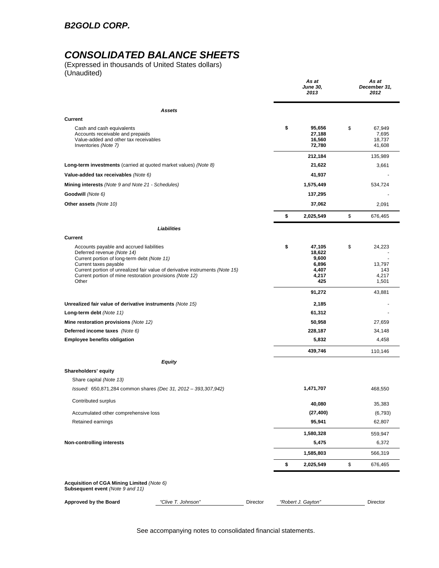## *B2GOLD CORP.*

## *CONSOLIDATED BALANCE SHEETS*

(Expressed in thousands of United States dollars) (Unaudited)

|                                                                                                                                                                                                                                                                                            |          | As at<br><b>June 30,</b><br>2013                           | As at<br>December 31,<br>2012             |
|--------------------------------------------------------------------------------------------------------------------------------------------------------------------------------------------------------------------------------------------------------------------------------------------|----------|------------------------------------------------------------|-------------------------------------------|
| Assets                                                                                                                                                                                                                                                                                     |          |                                                            |                                           |
| Current                                                                                                                                                                                                                                                                                    |          |                                                            |                                           |
| Cash and cash equivalents<br>Accounts receivable and prepaids<br>Value-added and other tax receivables<br>Inventories (Note 7)                                                                                                                                                             |          | \$<br>95,656<br>27,188<br>16,560<br>72,780                 | \$<br>67,949<br>7,695<br>18,737<br>41,608 |
|                                                                                                                                                                                                                                                                                            |          | 212,184                                                    | 135,989                                   |
| Long-term investments (carried at quoted market values) (Note 8)                                                                                                                                                                                                                           |          | 21,622                                                     | 3,661                                     |
| Value-added tax receivables (Note 6)                                                                                                                                                                                                                                                       |          | 41,937                                                     |                                           |
| Mining interests (Note 9 and Note 21 - Schedules)                                                                                                                                                                                                                                          |          | 1,575,449                                                  | 534,724                                   |
| Goodwill (Note 6)                                                                                                                                                                                                                                                                          |          | 137,295                                                    |                                           |
| Other assets (Note 10)                                                                                                                                                                                                                                                                     |          | 37,062                                                     | 2,091                                     |
|                                                                                                                                                                                                                                                                                            |          | \$<br>2,025,549                                            | \$<br>676,465                             |
| <b>Liabilities</b>                                                                                                                                                                                                                                                                         |          |                                                            |                                           |
| <b>Current</b>                                                                                                                                                                                                                                                                             |          |                                                            |                                           |
| Accounts payable and accrued liabilities<br>Deferred revenue (Note 14)<br>Current portion of long-term debt (Note 11)<br>Current taxes payable<br>Current portion of unrealized fair value of derivative instruments (Note 15)<br>Current portion of mine restoration provisions (Note 12) |          | \$<br>47,105<br>18,622<br>9,600<br>6,896<br>4,407<br>4,217 | \$<br>24,223<br>13,797<br>143<br>4,217    |
| Other                                                                                                                                                                                                                                                                                      |          | 425<br>91,272                                              | 1,501<br>43,881                           |
| Unrealized fair value of derivative instruments (Note 15)                                                                                                                                                                                                                                  |          | 2,185                                                      |                                           |
| Long-term debt (Note 11)                                                                                                                                                                                                                                                                   |          | 61,312                                                     |                                           |
| Mine restoration provisions (Note 12)                                                                                                                                                                                                                                                      |          | 50,958                                                     | 27,659                                    |
| Deferred income taxes (Note 6)                                                                                                                                                                                                                                                             |          | 228,187                                                    | 34,148                                    |
| <b>Employee benefits obligation</b>                                                                                                                                                                                                                                                        |          | 5,832                                                      | 4,458                                     |
|                                                                                                                                                                                                                                                                                            |          | 439,746                                                    | 110,146                                   |
| Equity                                                                                                                                                                                                                                                                                     |          |                                                            |                                           |
| Shareholders' equity                                                                                                                                                                                                                                                                       |          |                                                            |                                           |
| Share capital (Note 13)                                                                                                                                                                                                                                                                    |          |                                                            |                                           |
| Issued: 650,871,284 common shares (Dec 31, 2012 - 393,307,942)                                                                                                                                                                                                                             |          | 1,471,707                                                  | 468,550                                   |
| Contributed surplus                                                                                                                                                                                                                                                                        |          | 40,080                                                     | 35,383                                    |
| Accumulated other comprehensive loss                                                                                                                                                                                                                                                       |          | (27, 400)                                                  | (6, 793)                                  |
| Retained earnings                                                                                                                                                                                                                                                                          |          | 95,941                                                     | 62,807                                    |
|                                                                                                                                                                                                                                                                                            |          | 1,580,328                                                  | 559,947                                   |
| Non-controlling interests                                                                                                                                                                                                                                                                  |          | 5,475                                                      | 6,372                                     |
|                                                                                                                                                                                                                                                                                            |          | 1,585,803                                                  | 566,319                                   |
|                                                                                                                                                                                                                                                                                            |          | \$<br>2,025,549                                            | \$<br>676,465                             |
| Acquisition of CGA Mining Limited (Note 6)<br>Subsequent event (Note 9 and 11)                                                                                                                                                                                                             |          |                                                            |                                           |
| "Clive T. Johnson"<br><b>Approved by the Board</b>                                                                                                                                                                                                                                         | Director | "Robert J. Gayton"                                         | Director                                  |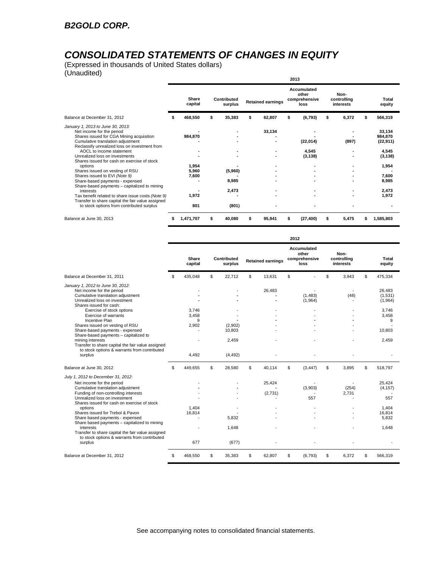# *CONSOLIDATED STATEMENTS OF CHANGES IN EQUITY*

(Expressed in thousands of United States dollars) (Unaudited)

| $\overline{v}$                                                                                                                                                                                                                                                                                                                                                                               |   |                                    |   |                         |                          |        |                                               | 2013                          |                                  |                                   |   |                                                                       |
|----------------------------------------------------------------------------------------------------------------------------------------------------------------------------------------------------------------------------------------------------------------------------------------------------------------------------------------------------------------------------------------------|---|------------------------------------|---|-------------------------|--------------------------|--------|-----------------------------------------------|-------------------------------|----------------------------------|-----------------------------------|---|-----------------------------------------------------------------------|
|                                                                                                                                                                                                                                                                                                                                                                                              |   | Share<br>capital                   |   | Contributed<br>surplus  | <b>Retained earnings</b> |        | Accumulated<br>other<br>comprehensive<br>loss |                               | Non-<br>controlling<br>interests |                                   |   | <b>Total</b><br>equity                                                |
| Balance at December 31, 2012                                                                                                                                                                                                                                                                                                                                                                 |   | 468,550                            |   | 35,383                  | \$                       | 62,807 | \$                                            | (6, 793)                      | s                                | 6,372                             |   | 566,319                                                               |
| January 1, 2013 to June 30, 2013:<br>Net income for the period<br>Shares issued for CGA Mining acquisition<br>Cumulative translation adjustment<br>Reclassify unrealized loss on investment from<br>AOCL to income statement<br>Unrealized loss on investments<br>Shares issued for cash on exercise of stock<br>options<br>Shares issued on vesting of RSU<br>Shares issued to EVI (Note 9) |   | 984,870<br>1,954<br>5,960<br>7,600 |   | (5,960)                 |                          | 33,134 |                                               | (22,014)<br>4,545<br>(3, 138) |                                  | (897)<br>$\overline{\phantom{a}}$ |   | 33,134<br>984,870<br>(22, 911)<br>4,545<br>(3, 138)<br>1,954<br>7,600 |
| Share-based payments - expensed<br>Share-based payments - capitalized to mining<br>interests<br>Tax benefit related to share issue costs (Note 9)<br>Transfer to share capital the fair value assigned<br>to stock options from contributed surplus                                                                                                                                          |   | 1,972<br>801                       |   | 8,985<br>2,473<br>(801) |                          |        |                                               |                               |                                  |                                   |   | 8,985<br>2,473<br>1,972                                               |
| Balance at June 30, 2013                                                                                                                                                                                                                                                                                                                                                                     | s | 1,471,707                          | S | 40,080                  | \$                       | 95,941 | S                                             | (27, 400)                     | \$                               | 5,475                             | S | 1,585,803                                                             |

|                                                                                                                                                                                                                                                                                                                                                                                                                                                                                           |                     |                        |                          | 2012 |                                               |                                  |                                                       |
|-------------------------------------------------------------------------------------------------------------------------------------------------------------------------------------------------------------------------------------------------------------------------------------------------------------------------------------------------------------------------------------------------------------------------------------------------------------------------------------------|---------------------|------------------------|--------------------------|------|-----------------------------------------------|----------------------------------|-------------------------------------------------------|
|                                                                                                                                                                                                                                                                                                                                                                                                                                                                                           | Share<br>capital    | Contributed<br>surplus | <b>Retained earnings</b> |      | Accumulated<br>other<br>comprehensive<br>loss | Non-<br>controlling<br>interests | Total<br>equity                                       |
| Balance at December 31, 2011                                                                                                                                                                                                                                                                                                                                                                                                                                                              | \$<br>435,048       | \$<br>22.712           | \$<br>13.631             | \$   |                                               | \$<br>3,943                      | \$<br>475,334                                         |
| January 1, 2012 to June 30, 2012:<br>Net income for the period<br>Cumulative translation adjustment<br>Unrealized loss on investment<br>Shares issued for cash:<br>Exercise of stock options<br>Exercise of warrants<br>Incentive Plan<br>Shares issued on vesting of RSU<br>Share-based payments - expensed<br>Share-based payments - capitalized to<br>mining interests<br>Transfer to share capital the fair value assigned<br>to stock options & warrants from contributed<br>surplus | 3,746               |                        | 26,483                   |      | (1,483)<br>(1,964)                            | (48)                             | 26,483<br>(1,531)<br>(1,964)<br>3,746                 |
|                                                                                                                                                                                                                                                                                                                                                                                                                                                                                           | 3,458<br>9<br>2,902 | (2,902)<br>10,803      |                          |      |                                               |                                  | 3,458<br>9<br>10,803                                  |
|                                                                                                                                                                                                                                                                                                                                                                                                                                                                                           | 4,492               | 2.459<br>(4, 492)      |                          |      |                                               |                                  | 2.459                                                 |
| Balance at June 30, 2012                                                                                                                                                                                                                                                                                                                                                                                                                                                                  | \$<br>449.655       | \$<br>28.580           | \$<br>40.114             | \$   | (3, 447)                                      | \$<br>3.895                      | \$<br>518.797                                         |
| July 1, 2012 to December 31, 2012:<br>Net income for the period<br>Cumulative translation adjustment<br>Funding of non-controlling interests<br>Unrealized loss on investment<br>Shares issued for cash on exercise of stock<br>options<br>Shares issued for Trebol & Pavon<br>Share based payments - expensed                                                                                                                                                                            | 1.404<br>16,814     | 5,832                  | 25,424<br>(2,731)        |      | (3,903)<br>557                                | (254)<br>2,731                   | 25.424<br>(4, 157)<br>557<br>1.404<br>16,814<br>5.832 |
| Share based payments - capitalized to mining<br>interests<br>Transfer to share capital the fair value assigned<br>to stock options & warrants from contributed<br>surplus                                                                                                                                                                                                                                                                                                                 | 677                 | 1,648<br>(677)         |                          |      |                                               |                                  | 1.648                                                 |
| Balance at December 31, 2012                                                                                                                                                                                                                                                                                                                                                                                                                                                              | \$<br>468.550       | \$<br>35.383           | \$<br>62.807             | \$   | (6,793)                                       | \$<br>6.372                      | \$<br>566.319                                         |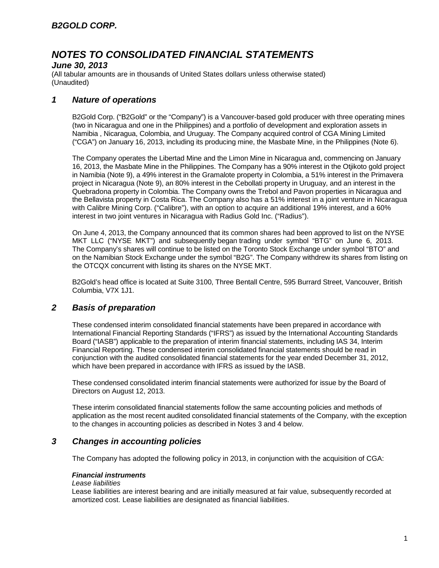### *June 30, 2013*

(All tabular amounts are in thousands of United States dollars unless otherwise stated) (Unaudited)

### *1 Nature of operations*

B2Gold Corp. ("B2Gold" or the "Company") is a Vancouver-based gold producer with three operating mines (two in Nicaragua and one in the Philippines) and a portfolio of development and exploration assets in Namibia , Nicaragua, Colombia, and Uruguay. The Company acquired control of CGA Mining Limited ("CGA") on January 16, 2013, including its producing mine, the Masbate Mine, in the Philippines (Note 6).

The Company operates the Libertad Mine and the Limon Mine in Nicaragua and, commencing on January 16, 2013, the Masbate Mine in the Philippines. The Company has a 90% interest in the Otjikoto gold project in Namibia (Note 9), a 49% interest in the Gramalote property in Colombia, a 51% interest in the Primavera project in Nicaragua (Note 9), an 80% interest in the Cebollati property in Uruguay, and an interest in the Quebradona property in Colombia. The Company owns the Trebol and Pavon properties in Nicaragua and the Bellavista property in Costa Rica. The Company also has a 51% interest in a joint venture in Nicaragua with Calibre Mining Corp. ("Calibre"), with an option to acquire an additional 19% interest, and a 60% interest in two joint ventures in Nicaragua with Radius Gold Inc. ("Radius").

On June 4, 2013, the Company announced that its common shares had been approved to list on the NYSE MKT LLC ("NYSE MKT") and subsequently began trading under symbol "BTG" on June 6, 2013. The Company's shares will continue to be listed on the Toronto Stock Exchange under symbol "BTO" and on the Namibian Stock Exchange under the symbol "B2G". The Company withdrew its shares from listing on the OTCQX concurrent with listing its shares on the NYSE MKT.

B2Gold's head office is located at Suite 3100, Three Bentall Centre, 595 Burrard Street, Vancouver, British Columbia, V7X 1J1.

### *2 Basis of preparation*

These condensed interim consolidated financial statements have been prepared in accordance with International Financial Reporting Standards ("IFRS") as issued by the International Accounting Standards Board ("IASB") applicable to the preparation of interim financial statements, including IAS 34, Interim Financial Reporting. These condensed interim consolidated financial statements should be read in conjunction with the audited consolidated financial statements for the year ended December 31, 2012, which have been prepared in accordance with IFRS as issued by the IASB.

These condensed consolidated interim financial statements were authorized for issue by the Board of Directors on August 12, 2013.

These interim consolidated financial statements follow the same accounting policies and methods of application as the most recent audited consolidated financial statements of the Company, with the exception to the changes in accounting policies as described in Notes 3 and 4 below.

### *3 Changes in accounting policies*

The Company has adopted the following policy in 2013, in conjunction with the acquisition of CGA:

### *Financial instruments*

#### *Lease liabilities*

Lease liabilities are interest bearing and are initially measured at fair value, subsequently recorded at amortized cost. Lease liabilities are designated as financial liabilities.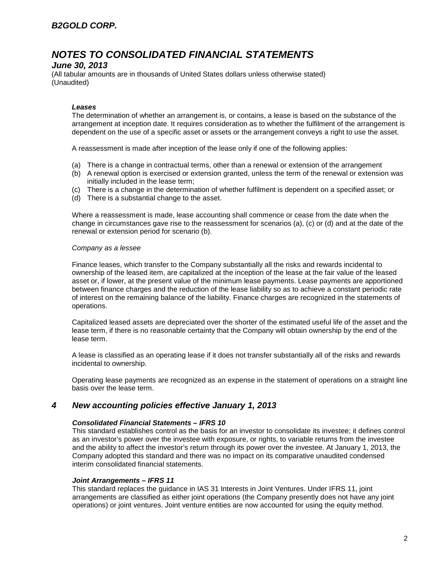### *June 30, 2013*

(All tabular amounts are in thousands of United States dollars unless otherwise stated) (Unaudited)

#### *Leases*

The determination of whether an arrangement is, or contains, a lease is based on the substance of the arrangement at inception date. It requires consideration as to whether the fulfilment of the arrangement is dependent on the use of a specific asset or assets or the arrangement conveys a right to use the asset.

A reassessment is made after inception of the lease only if one of the following applies:

- (a) There is a change in contractual terms, other than a renewal or extension of the arrangement
- (b) A renewal option is exercised or extension granted, unless the term of the renewal or extension was initially included in the lease term;
- (c) There is a change in the determination of whether fulfilment is dependent on a specified asset; or
- (d) There is a substantial change to the asset.

Where a reassessment is made, lease accounting shall commence or cease from the date when the change in circumstances gave rise to the reassessment for scenarios (a), (c) or (d) and at the date of the renewal or extension period for scenario (b).

#### *Company as a lessee*

Finance leases, which transfer to the Company substantially all the risks and rewards incidental to ownership of the leased item, are capitalized at the inception of the lease at the fair value of the leased asset or, if lower, at the present value of the minimum lease payments. Lease payments are apportioned between finance charges and the reduction of the lease liability so as to achieve a constant periodic rate of interest on the remaining balance of the liability. Finance charges are recognized in the statements of operations.

Capitalized leased assets are depreciated over the shorter of the estimated useful life of the asset and the lease term, if there is no reasonable certainty that the Company will obtain ownership by the end of the lease term.

A lease is classified as an operating lease if it does not transfer substantially all of the risks and rewards incidental to ownership.

Operating lease payments are recognized as an expense in the statement of operations on a straight line basis over the lease term.

### *4 New accounting policies effective January 1, 2013*

#### *Consolidated Financial Statements – IFRS 10*

This standard establishes control as the basis for an investor to consolidate its investee; it defines control as an investor's power over the investee with exposure, or rights, to variable returns from the investee and the ability to affect the investor's return through its power over the investee. At January 1, 2013, the Company adopted this standard and there was no impact on its comparative unaudited condensed interim consolidated financial statements.

#### *Joint Arrangements – IFRS 11*

This standard replaces the guidance in IAS 31 Interests in Joint Ventures. Under IFRS 11, joint arrangements are classified as either joint operations (the Company presently does not have any joint operations) or joint ventures. Joint venture entities are now accounted for using the equity method.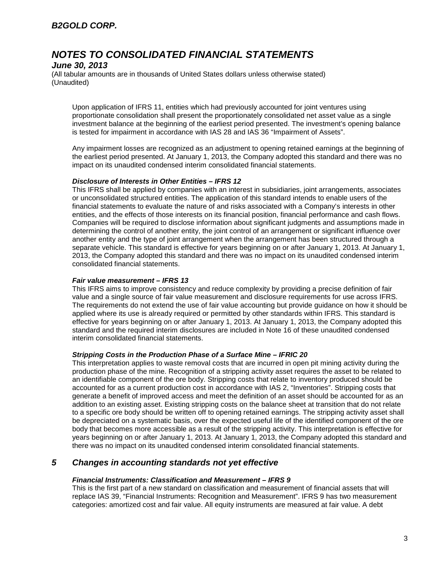## *B2GOLD CORP.*

## *NOTES TO CONSOLIDATED FINANCIAL STATEMENTS*

### *June 30, 2013*

(All tabular amounts are in thousands of United States dollars unless otherwise stated) (Unaudited)

Upon application of IFRS 11, entities which had previously accounted for joint ventures using proportionate consolidation shall present the proportionately consolidated net asset value as a single investment balance at the beginning of the earliest period presented. The investment's opening balance is tested for impairment in accordance with IAS 28 and IAS 36 "Impairment of Assets".

Any impairment losses are recognized as an adjustment to opening retained earnings at the beginning of the earliest period presented. At January 1, 2013, the Company adopted this standard and there was no impact on its unaudited condensed interim consolidated financial statements.

#### *Disclosure of Interests in Other Entities – IFRS 12*

This IFRS shall be applied by companies with an interest in subsidiaries, joint arrangements, associates or unconsolidated structured entities. The application of this standard intends to enable users of the financial statements to evaluate the nature of and risks associated with a Company's interests in other entities, and the effects of those interests on its financial position, financial performance and cash flows. Companies will be required to disclose information about significant judgments and assumptions made in determining the control of another entity, the joint control of an arrangement or significant influence over another entity and the type of joint arrangement when the arrangement has been structured through a separate vehicle. This standard is effective for years beginning on or after January 1, 2013. At January 1, 2013, the Company adopted this standard and there was no impact on its unaudited condensed interim consolidated financial statements.

#### *Fair value measurement – IFRS 13*

This IFRS aims to improve consistency and reduce complexity by providing a precise definition of fair value and a single source of fair value measurement and disclosure requirements for use across IFRS. The requirements do not extend the use of fair value accounting but provide guidance on how it should be applied where its use is already required or permitted by other standards within IFRS. This standard is effective for years beginning on or after January 1, 2013. At January 1, 2013, the Company adopted this standard and the required interim disclosures are included in Note 16 of these unaudited condensed interim consolidated financial statements.

#### *Stripping Costs in the Production Phase of a Surface Mine – IFRIC 20*

This interpretation applies to waste removal costs that are incurred in open pit mining activity during the production phase of the mine. Recognition of a stripping activity asset requires the asset to be related to an identifiable component of the ore body. Stripping costs that relate to inventory produced should be accounted for as a current production cost in accordance with IAS 2, "Inventories". Stripping costs that generate a benefit of improved access and meet the definition of an asset should be accounted for as an addition to an existing asset. Existing stripping costs on the balance sheet at transition that do not relate to a specific ore body should be written off to opening retained earnings. The stripping activity asset shall be depreciated on a systematic basis, over the expected useful life of the identified component of the ore body that becomes more accessible as a result of the stripping activity. This interpretation is effective for years beginning on or after January 1, 2013. At January 1, 2013, the Company adopted this standard and there was no impact on its unaudited condensed interim consolidated financial statements.

### *5 Changes in accounting standards not yet effective*

#### *Financial Instruments: Classification and Measurement – IFRS 9*

This is the first part of a new standard on classification and measurement of financial assets that will replace IAS 39, "Financial Instruments: Recognition and Measurement". IFRS 9 has two measurement categories: amortized cost and fair value. All equity instruments are measured at fair value. A debt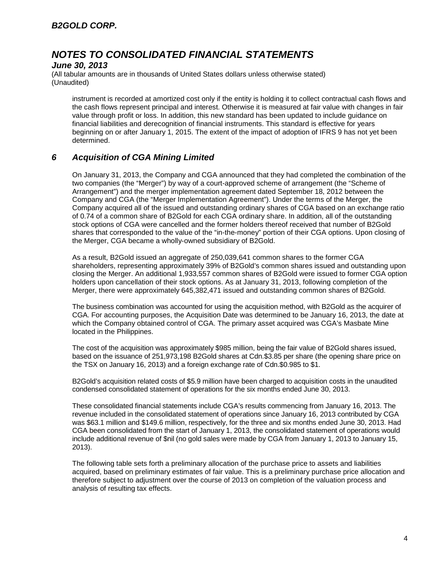### *June 30, 2013*

(All tabular amounts are in thousands of United States dollars unless otherwise stated) (Unaudited)

instrument is recorded at amortized cost only if the entity is holding it to collect contractual cash flows and the cash flows represent principal and interest. Otherwise it is measured at fair value with changes in fair value through profit or loss. In addition, this new standard has been updated to include guidance on financial liabilities and derecognition of financial instruments. This standard is effective for years beginning on or after January 1, 2015. The extent of the impact of adoption of IFRS 9 has not yet been determined.

### *6 Acquisition of CGA Mining Limited*

On January 31, 2013, the Company and CGA announced that they had completed the combination of the two companies (the "Merger") by way of a court-approved scheme of arrangement (the "Scheme of Arrangement") and the merger implementation agreement dated September 18, 2012 between the Company and CGA (the "Merger Implementation Agreement"). Under the terms of the Merger, the Company acquired all of the issued and outstanding ordinary shares of CGA based on an exchange ratio of 0.74 of a common share of B2Gold for each CGA ordinary share. In addition, all of the outstanding stock options of CGA were cancelled and the former holders thereof received that number of B2Gold shares that corresponded to the value of the "in-the-money" portion of their CGA options. Upon closing of the Merger, CGA became a wholly-owned subsidiary of B2Gold.

As a result, B2Gold issued an aggregate of 250,039,641 common shares to the former CGA shareholders, representing approximately 39% of B2Gold's common shares issued and outstanding upon closing the Merger. An additional 1,933,557 common shares of B2Gold were issued to former CGA option holders upon cancellation of their stock options. As at January 31, 2013, following completion of the Merger, there were approximately 645,382,471 issued and outstanding common shares of B2Gold.

The business combination was accounted for using the acquisition method, with B2Gold as the acquirer of CGA. For accounting purposes, the Acquisition Date was determined to be January 16, 2013, the date at which the Company obtained control of CGA. The primary asset acquired was CGA's Masbate Mine located in the Philippines.

The cost of the acquisition was approximately \$985 million, being the fair value of B2Gold shares issued, based on the issuance of 251,973,198 B2Gold shares at Cdn.\$3.85 per share (the opening share price on the TSX on January 16, 2013) and a foreign exchange rate of Cdn.\$0.985 to \$1.

B2Gold's acquisition related costs of \$5.9 million have been charged to acquisition costs in the unaudited condensed consolidated statement of operations for the six months ended June 30, 2013.

These consolidated financial statements include CGA's results commencing from January 16, 2013. The revenue included in the consolidated statement of operations since January 16, 2013 contributed by CGA was \$63.1 million and \$149.6 million, respectively, for the three and six months ended June 30, 2013. Had CGA been consolidated from the start of January 1, 2013, the consolidated statement of operations would include additional revenue of \$nil (no gold sales were made by CGA from January 1, 2013 to January 15, 2013).

The following table sets forth a preliminary allocation of the purchase price to assets and liabilities acquired, based on preliminary estimates of fair value. This is a preliminary purchase price allocation and therefore subject to adjustment over the course of 2013 on completion of the valuation process and analysis of resulting tax effects.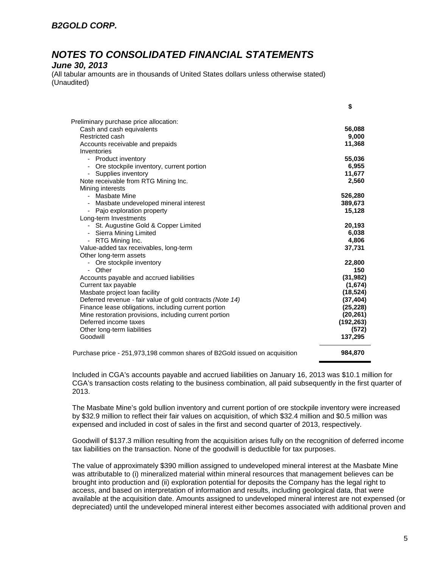### *June 30, 2013*

(All tabular amounts are in thousands of United States dollars unless otherwise stated) (Unaudited)

|                                                                            | \$         |
|----------------------------------------------------------------------------|------------|
| Preliminary purchase price allocation:                                     |            |
| Cash and cash equivalents                                                  | 56,088     |
| Restricted cash                                                            | 9,000      |
| Accounts receivable and prepaids                                           | 11,368     |
| Inventories                                                                |            |
| - Product inventory                                                        | 55,036     |
| Ore stockpile inventory, current portion                                   | 6,955      |
| Supplies inventory<br>-                                                    | 11,677     |
| Note receivable from RTG Mining Inc.                                       | 2,560      |
| Mining interests                                                           |            |
| - Masbate Mine                                                             | 526,280    |
| Masbate undeveloped mineral interest                                       | 389,673    |
| - Pajo exploration property                                                | 15,128     |
| Long-term Investments                                                      |            |
| - St. Augustine Gold & Copper Limited                                      | 20,193     |
| - Sierra Mining Limited                                                    | 6,038      |
| - RTG Mining Inc.                                                          | 4,806      |
| Value-added tax receivables, long-term                                     | 37,731     |
| Other long-term assets                                                     |            |
| - Ore stockpile inventory                                                  | 22,800     |
| - Other                                                                    | 150        |
| Accounts payable and accrued liabilities                                   | (31, 982)  |
| Current tax payable                                                        | (1,674)    |
| Masbate project loan facility                                              | (18, 524)  |
| Deferred revenue - fair value of gold contracts (Note 14)                  | (37, 404)  |
| Finance lease obligations, including current portion                       | (25, 228)  |
| Mine restoration provisions, including current portion                     | (20, 261)  |
| Deferred income taxes                                                      | (192, 263) |
| Other long-term liabilities                                                | (572)      |
| Goodwill                                                                   | 137,295    |
| Purchase price - 251,973,198 common shares of B2Gold issued on acquisition | 984,870    |
|                                                                            |            |

Included in CGA's accounts payable and accrued liabilities on January 16, 2013 was \$10.1 million for CGA's transaction costs relating to the business combination, all paid subsequently in the first quarter of 2013.

The Masbate Mine's gold bullion inventory and current portion of ore stockpile inventory were increased by \$32.9 million to reflect their fair values on acquisition, of which \$32.4 million and \$0.5 million was expensed and included in cost of sales in the first and second quarter of 2013, respectively.

Goodwill of \$137.3 million resulting from the acquisition arises fully on the recognition of deferred income tax liabilities on the transaction. None of the goodwill is deductible for tax purposes.

The value of approximately \$390 million assigned to undeveloped mineral interest at the Masbate Mine was attributable to (i) mineralized material within mineral resources that management believes can be brought into production and (ii) exploration potential for deposits the Company has the legal right to access, and based on interpretation of information and results, including geological data, that were available at the acquisition date. Amounts assigned to undeveloped mineral interest are not expensed (or depreciated) until the undeveloped mineral interest either becomes associated with additional proven and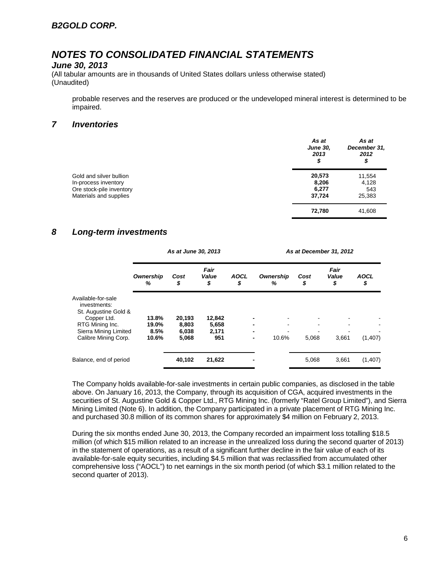### *June 30, 2013*

(All tabular amounts are in thousands of United States dollars unless otherwise stated) (Unaudited)

probable reserves and the reserves are produced or the undeveloped mineral interest is determined to be impaired.

### *7 Inventories*

|                          | As at<br><b>June 30,</b><br>2013<br>\$ | As at<br>December 31,<br>2012<br>\$ |
|--------------------------|----------------------------------------|-------------------------------------|
| Gold and silver bullion  | 20,573                                 | 11,554                              |
| In-process inventory     | 8,206                                  | 4,128                               |
| Ore stock-pile inventory | 6,277                                  | 543                                 |
| Materials and supplies   | 37,724                                 | 25,383                              |
|                          | 72,780                                 | 41,608                              |

### *8 Long-term investments*

|                                                                           |                        | As at June 30, 2013     |                       |                   |                       | As at December 31, 2012 |                     |                   |  |  |
|---------------------------------------------------------------------------|------------------------|-------------------------|-----------------------|-------------------|-----------------------|-------------------------|---------------------|-------------------|--|--|
|                                                                           | <b>Ownership</b><br>%  | Cost<br>\$              | Fair<br>Value<br>\$   | <b>AOCL</b><br>\$ | <b>Ownership</b><br>% | Cost<br>\$              | Fair<br>Value<br>\$ | <b>AOCL</b><br>\$ |  |  |
| Available-for-sale<br>investments:<br>St. Augustine Gold &<br>Copper Ltd. | 13.8%                  | 20,193                  | 12,842                |                   |                       |                         |                     |                   |  |  |
| RTG Mining Inc.<br>Sierra Mining Limited<br>Calibre Mining Corp.          | 19.0%<br>8.5%<br>10.6% | 8,803<br>6,038<br>5,068 | 5,658<br>2,171<br>951 |                   | 10.6%<br>٠            | 5,068                   | 3,661               | (1,407)           |  |  |
| Balance, end of period                                                    |                        | 40,102                  | 21,622                |                   |                       | 5,068                   | 3,661               | (1,407)           |  |  |

The Company holds available-for-sale investments in certain public companies, as disclosed in the table above. On January 16, 2013, the Company, through its acquisition of CGA, acquired investments in the securities of St. Augustine Gold & Copper Ltd., RTG Mining Inc. (formerly "Ratel Group Limited"), and Sierra Mining Limited (Note 6). In addition, the Company participated in a private placement of RTG Mining Inc. and purchased 30.8 million of its common shares for approximately \$4 million on February 2, 2013.

During the six months ended June 30, 2013, the Company recorded an impairment loss totalling \$18.5 million (of which \$15 million related to an increase in the unrealized loss during the second quarter of 2013) in the statement of operations, as a result of a significant further decline in the fair value of each of its available-for-sale equity securities, including \$4.5 million that was reclassified from accumulated other comprehensive loss ("AOCL") to net earnings in the six month period (of which \$3.1 million related to the second quarter of 2013).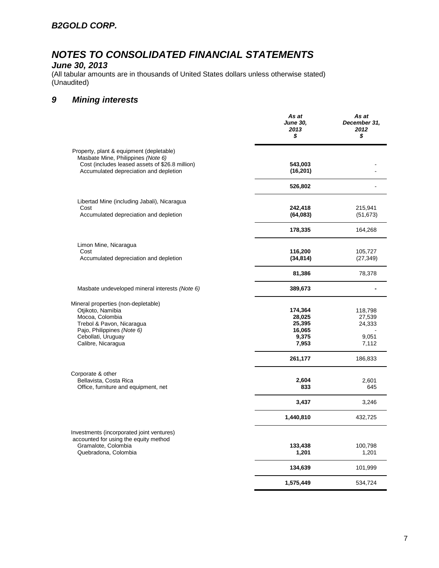## *June 30, 2013*

(All tabular amounts are in thousands of United States dollars unless otherwise stated) (Unaudited)

## *9 Mining interests*

|                                                                                                                                   | As at<br><b>June 30,</b><br>2013<br>\$ | As at<br>December 31,<br>2012<br>\$ |
|-----------------------------------------------------------------------------------------------------------------------------------|----------------------------------------|-------------------------------------|
| Property, plant & equipment (depletable)<br>Masbate Mine, Philippines (Note 6)<br>Cost (includes leased assets of \$26.8 million) | 543,003                                |                                     |
| Accumulated depreciation and depletion                                                                                            | (16, 201)                              |                                     |
|                                                                                                                                   | 526,802                                |                                     |
| Libertad Mine (including Jabali), Nicaragua<br>Cost                                                                               | 242,418                                | 215,941                             |
| Accumulated depreciation and depletion                                                                                            | (64,083)                               | (51, 673)                           |
|                                                                                                                                   | 178,335                                | 164,268                             |
| Limon Mine, Nicaragua<br>Cost                                                                                                     | 116,200                                | 105,727                             |
| Accumulated depreciation and depletion                                                                                            | (34, 814)                              | (27, 349)                           |
|                                                                                                                                   | 81,386                                 | 78,378                              |
| Masbate undeveloped mineral interests (Note 6)                                                                                    | 389,673                                |                                     |
| Mineral properties (non-depletable)                                                                                               |                                        |                                     |
| Otjikoto, Namibia<br>Mocoa, Colombia                                                                                              | 174,364<br>28,025                      | 118,798<br>27,539                   |
| Trebol & Pavon, Nicaragua                                                                                                         | 25,395                                 | 24,333                              |
| Pajo, Philippines (Note 6)                                                                                                        | 16,065                                 |                                     |
| Cebollati, Uruguay                                                                                                                | 9,375                                  | 9,051                               |
| Calibre, Nicaragua                                                                                                                | 7,953                                  | 7,112                               |
|                                                                                                                                   | 261,177                                | 186,833                             |
| Corporate & other<br>Bellavista, Costa Rica                                                                                       | 2,604                                  | 2,601                               |
| Office, furniture and equipment, net                                                                                              | 833                                    | 645                                 |
|                                                                                                                                   | 3,437                                  | 3,246                               |
|                                                                                                                                   | 1,440,810                              | 432,725                             |
| Investments (incorporated joint ventures)<br>accounted for using the equity method                                                |                                        |                                     |
| Gramalote, Colombia                                                                                                               | 133,438                                | 100,798                             |
| Quebradona, Colombia                                                                                                              | 1,201                                  | 1,201                               |
|                                                                                                                                   | 134,639                                | 101,999                             |
|                                                                                                                                   | 1,575,449                              | 534,724                             |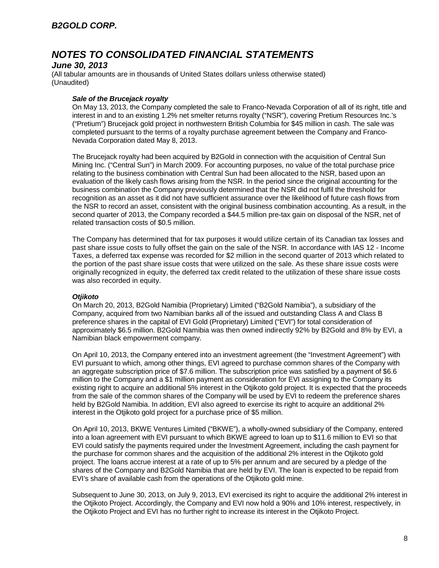### *June 30, 2013*

(All tabular amounts are in thousands of United States dollars unless otherwise stated) (Unaudited)

#### *Sale of the Brucejack royalty*

On May 13, 2013, the Company completed the sale to Franco-Nevada Corporation of all of its right, title and interest in and to an existing 1.2% net smelter returns royalty ("NSR"), covering Pretium Resources Inc.'s ("Pretium") Brucejack gold project in northwestern British Columbia for \$45 million in cash. The sale was completed pursuant to the terms of a royalty purchase agreement between the Company and Franco-Nevada Corporation dated May 8, 2013.

The Brucejack royalty had been acquired by B2Gold in connection with the acquisition of Central Sun Mining Inc. ("Central Sun") in March 2009. For accounting purposes, no value of the total purchase price relating to the business combination with Central Sun had been allocated to the NSR, based upon an evaluation of the likely cash flows arising from the NSR. In the period since the original accounting for the business combination the Company previously determined that the NSR did not fulfil the threshold for recognition as an asset as it did not have sufficient assurance over the likelihood of future cash flows from the NSR to record an asset, consistent with the original business combination accounting. As a result, in the second quarter of 2013, the Company recorded a \$44.5 million pre-tax gain on disposal of the NSR, net of related transaction costs of \$0.5 million.

The Company has determined that for tax purposes it would utilize certain of its Canadian tax losses and past share issue costs to fully offset the gain on the sale of the NSR. In accordance with IAS 12 - Income Taxes, a deferred tax expense was recorded for \$2 million in the second quarter of 2013 which related to the portion of the past share issue costs that were utilized on the sale. As these share issue costs were originally recognized in equity, the deferred tax credit related to the utilization of these share issue costs was also recorded in equity.

### *Otjikoto*

On March 20, 2013, B2Gold Namibia (Proprietary) Limited ("B2Gold Namibia"), a subsidiary of the Company, acquired from two Namibian banks all of the issued and outstanding Class A and Class B preference shares in the capital of EVI Gold (Proprietary) Limited ("EVI") for total consideration of approximately \$6.5 million. B2Gold Namibia was then owned indirectly 92% by B2Gold and 8% by EVI, a Namibian black empowerment company.

On April 10, 2013, the Company entered into an investment agreement (the "Investment Agreement") with EVI pursuant to which, among other things, EVI agreed to purchase common shares of the Company with an aggregate subscription price of \$7.6 million. The subscription price was satisfied by a payment of \$6.6 million to the Company and a \$1 million payment as consideration for EVI assigning to the Company its existing right to acquire an additional 5% interest in the Otjikoto gold project. It is expected that the proceeds from the sale of the common shares of the Company will be used by EVI to redeem the preference shares held by B2Gold Namibia. In addition, EVI also agreed to exercise its right to acquire an additional 2% interest in the Otjikoto gold project for a purchase price of \$5 million.

On April 10, 2013, BKWE Ventures Limited ("BKWE"), a wholly-owned subsidiary of the Company, entered into a loan agreement with EVI pursuant to which BKWE agreed to loan up to \$11.6 million to EVI so that EVI could satisfy the payments required under the Investment Agreement, including the cash payment for the purchase for common shares and the acquisition of the additional 2% interest in the Otjikoto gold project. The loans accrue interest at a rate of up to 5% per annum and are secured by a pledge of the shares of the Company and B2Gold Namibia that are held by EVI. The loan is expected to be repaid from EVI's share of available cash from the operations of the Otjikoto gold mine.

Subsequent to June 30, 2013, on July 9, 2013, EVI exercised its right to acquire the additional 2% interest in the Otjikoto Project. Accordingly, the Company and EVI now hold a 90% and 10% interest, respectively, in the Otjikoto Project and EVI has no further right to increase its interest in the Otjikoto Project.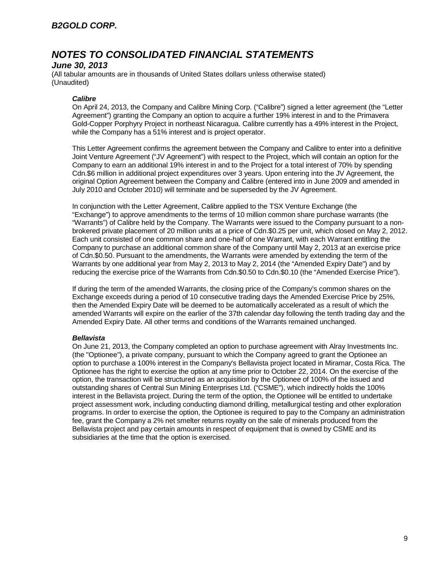### *June 30, 2013*

(All tabular amounts are in thousands of United States dollars unless otherwise stated) (Unaudited)

### *Calibre*

On April 24, 2013, the Company and Calibre Mining Corp. ("Calibre") signed a letter agreement (the "Letter Agreement") granting the Company an option to acquire a further 19% interest in and to the Primavera Gold-Copper Porphyry Project in northeast Nicaragua. Calibre currently has a 49% interest in the Project, while the Company has a 51% interest and is project operator.

This Letter Agreement confirms the agreement between the Company and Calibre to enter into a definitive Joint Venture Agreement ("JV Agreement") with respect to the Project, which will contain an option for the Company to earn an additional 19% interest in and to the Project for a total interest of 70% by spending Cdn.\$6 million in additional project expenditures over 3 years. Upon entering into the JV Agreement, the original Option Agreement between the Company and Calibre (entered into in June 2009 and amended in July 2010 and October 2010) will terminate and be superseded by the JV Agreement.

In conjunction with the Letter Agreement, Calibre applied to the TSX Venture Exchange (the "Exchange") to approve amendments to the terms of 10 million common share purchase warrants (the "Warrants") of Calibre held by the Company. The Warrants were issued to the Company pursuant to a nonbrokered private placement of 20 million units at a price of Cdn.\$0.25 per unit, which closed on May 2, 2012. Each unit consisted of one common share and one-half of one Warrant, with each Warrant entitling the Company to purchase an additional common share of the Company until May 2, 2013 at an exercise price of Cdn.\$0.50. Pursuant to the amendments, the Warrants were amended by extending the term of the Warrants by one additional year from May 2, 2013 to May 2, 2014 (the "Amended Expiry Date") and by reducing the exercise price of the Warrants from Cdn.\$0.50 to Cdn.\$0.10 (the "Amended Exercise Price").

If during the term of the amended Warrants, the closing price of the Company's common shares on the Exchange exceeds during a period of 10 consecutive trading days the Amended Exercise Price by 25%, then the Amended Expiry Date will be deemed to be automatically accelerated as a result of which the amended Warrants will expire on the earlier of the 37th calendar day following the tenth trading day and the Amended Expiry Date. All other terms and conditions of the Warrants remained unchanged.

### *Bellavista*

On June 21, 2013, the Company completed an option to purchase agreement with Alray Investments Inc. (the "Optionee"), a private company, pursuant to which the Company agreed to grant the Optionee an option to purchase a 100% interest in the Company's Bellavista project located in Miramar, Costa Rica. The Optionee has the right to exercise the option at any time prior to October 22, 2014. On the exercise of the option, the transaction will be structured as an acquisition by the Optionee of 100% of the issued and outstanding shares of Central Sun Mining Enterprises Ltd. ("CSME"), which indirectly holds the 100% interest in the Bellavista project. During the term of the option, the Optionee will be entitled to undertake project assessment work, including conducting diamond drilling, metallurgical testing and other exploration programs. In order to exercise the option, the Optionee is required to pay to the Company an administration fee, grant the Company a 2% net smelter returns royalty on the sale of minerals produced from the Bellavista project and pay certain amounts in respect of equipment that is owned by CSME and its subsidiaries at the time that the option is exercised.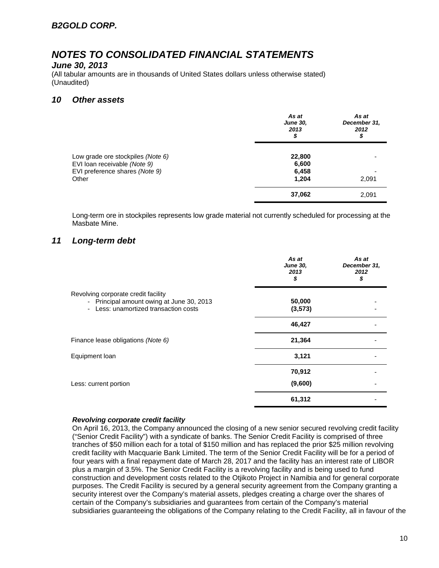### *June 30, 2013*

(All tabular amounts are in thousands of United States dollars unless otherwise stated) (Unaudited)

### *10 Other assets*

|                                                                                                     | As at<br><b>June 30,</b><br>2013<br>\$ | As at<br>December 31,<br>2012<br>\$ |
|-----------------------------------------------------------------------------------------------------|----------------------------------------|-------------------------------------|
| Low grade ore stockpiles (Note 6)<br>EVI loan receivable (Note 9)<br>EVI preference shares (Note 9) | 22,800<br>6,600<br>6,458               |                                     |
| Other                                                                                               | 1,204<br>37,062                        | 2,091<br>2,091                      |

Long-term ore in stockpiles represents low grade material not currently scheduled for processing at the Masbate Mine.

### *11 Long-term debt*

|                                                                                                                           | As at<br><b>June 30,</b><br>2013<br>\$ | As at<br>December 31,<br>2012<br>\$ |
|---------------------------------------------------------------------------------------------------------------------------|----------------------------------------|-------------------------------------|
| Revolving corporate credit facility<br>- Principal amount owing at June 30, 2013<br>- Less: unamortized transaction costs | 50,000<br>(3, 573)                     |                                     |
|                                                                                                                           | 46,427                                 |                                     |
| Finance lease obligations (Note 6)                                                                                        | 21,364                                 |                                     |
| Equipment loan                                                                                                            | 3,121                                  |                                     |
|                                                                                                                           | 70,912                                 |                                     |
| Less: current portion                                                                                                     | (9,600)                                |                                     |
|                                                                                                                           | 61,312                                 |                                     |

#### *Revolving corporate credit facility*

On April 16, 2013, the Company announced the closing of a new senior secured revolving credit facility ("Senior Credit Facility") with a syndicate of banks. The Senior Credit Facility is comprised of three tranches of \$50 million each for a total of \$150 million and has replaced the prior \$25 million revolving credit facility with Macquarie Bank Limited. The term of the Senior Credit Facility will be for a period of four years with a final repayment date of March 28, 2017 and the facility has an interest rate of LIBOR plus a margin of 3.5%. The Senior Credit Facility is a revolving facility and is being used to fund construction and development costs related to the Otjikoto Project in Namibia and for general corporate purposes. The Credit Facility is secured by a general security agreement from the Company granting a security interest over the Company's material assets, pledges creating a charge over the shares of certain of the Company's subsidiaries and guarantees from certain of the Company's material subsidiaries guaranteeing the obligations of the Company relating to the Credit Facility, all in favour of the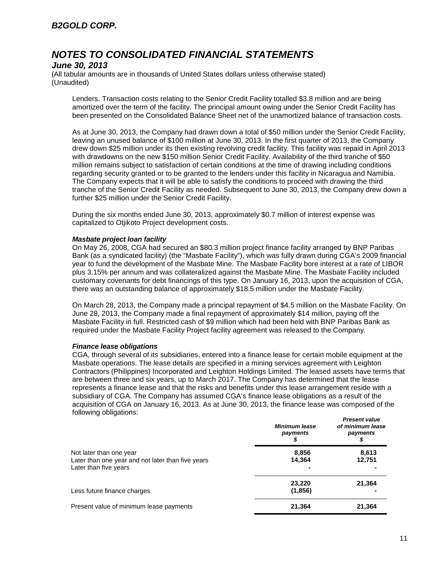### *June 30, 2013*

(All tabular amounts are in thousands of United States dollars unless otherwise stated) (Unaudited)

Lenders. Transaction costs relating to the Senior Credit Facility totalled \$3.8 million and are being amortized over the term of the facility. The principal amount owing under the Senior Credit Facility has been presented on the Consolidated Balance Sheet net of the unamortized balance of transaction costs.

As at June 30, 2013, the Company had drawn down a total of \$50 million under the Senior Credit Facility, leaving an unused balance of \$100 million at June 30, 2013. In the first quarter of 2013, the Company drew down \$25 million under its then existing revolving credit facility. This facility was repaid in April 2013 with drawdowns on the new \$150 million Senior Credit Facility. Availability of the third tranche of \$50 million remains subject to satisfaction of certain conditions at the time of drawing including conditions regarding security granted or to be granted to the lenders under this facility in Nicaragua and Namibia. The Company expects that it will be able to satisfy the conditions to proceed with drawing the third tranche of the Senior Credit Facility as needed. Subsequent to June 30, 2013, the Company drew down a further \$25 million under the Senior Credit Facility.

During the six months ended June 30, 2013, approximately \$0.7 million of interest expense was capitalized to Otjikoto Project development costs.

#### *Masbate project loan facility*

On May 26, 2008, CGA had secured an \$80.3 million project finance facility arranged by BNP Paribas Bank (as a syndicated facility) (the "Masbate Facility"), which was fully drawn during CGA's 2009 financial year to fund the development of the Masbate Mine. The Masbate Facility bore interest at a rate of LIBOR plus 3.15% per annum and was collateralized against the Masbate Mine. The Masbate Facility included customary covenants for debt financings of this type. On January 16, 2013, upon the acquisition of CGA, there was an outstanding balance of approximately \$18.5 million under the Masbate Facility.

On March 28, 2013, the Company made a principal repayment of \$4.5 million on the Masbate Facility. On June 28, 2013, the Company made a final repayment of approximately \$14 million, paying off the Masbate Facility in full. Restricted cash of \$9 million which had been held with BNP Paribas Bank as required under the Masbate Facility Project facility agreement was released to the Company.

#### *Finance lease obligations*

CGA, through several of its subsidiaries, entered into a finance lease for certain mobile equipment at the Masbate operations. The lease details are specified in a mining services agreement with Leighton Contractors (Philippines) Incorporated and Leighton Holdings Limited. The leased assets have terms that are between three and six years, up to March 2017. The Company has determined that the lease represents a finance lease and that the risks and benefits under this lease arrangement reside with a subsidiary of CGA. The Company has assumed CGA's finance lease obligations as a result of the acquisition of CGA on January 16, 2013. As at June 30, 2013, the finance lease was composed of the following obligations: *Present value* 

|                                                                                                       | <b>Minimum lease</b><br>payments | <i><b>Present value</b></i><br>of minimum lease<br>payments |
|-------------------------------------------------------------------------------------------------------|----------------------------------|-------------------------------------------------------------|
| Not later than one year<br>Later than one year and not later than five years<br>Later than five years | 8,856<br>14,364                  | 8,613<br>12,751                                             |
| Less future finance charges                                                                           | 23,220<br>(1, 856)               | 21,364                                                      |
| Present value of minimum lease payments                                                               | 21,364                           | 21,364                                                      |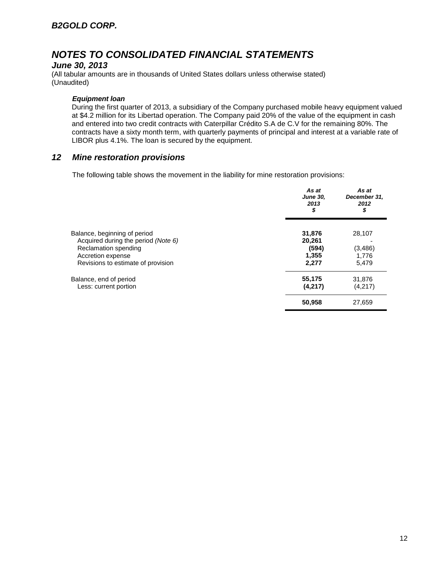### *June 30, 2013*

(All tabular amounts are in thousands of United States dollars unless otherwise stated) (Unaudited)

#### *Equipment loan*

During the first quarter of 2013, a subsidiary of the Company purchased mobile heavy equipment valued at \$4.2 million for its Libertad operation. The Company paid 20% of the value of the equipment in cash and entered into two credit contracts with Caterpillar Crédito S.A de C.V for the remaining 80%. The contracts have a sixty month term, with quarterly payments of principal and interest at a variable rate of LIBOR plus 4.1%. The loan is secured by the equipment.

### *12 Mine restoration provisions*

The following table shows the movement in the liability for mine restoration provisions:

|                                                                                 | As at<br><b>June 30,</b><br>2013<br>\$ | As at<br>December 31,<br>2012<br>\$ |
|---------------------------------------------------------------------------------|----------------------------------------|-------------------------------------|
| Balance, beginning of period<br>Acquired during the period (Note 6)             | 31,876<br>20,261<br>(594)              | 28,107                              |
| Reclamation spending<br>Accretion expense<br>Revisions to estimate of provision | 1,355<br>2,277                         | (3, 486)<br>1,776<br>5,479          |
| Balance, end of period<br>Less: current portion                                 | 55,175<br>(4,217)                      | 31,876<br>(4,217)                   |
|                                                                                 | 50,958                                 | 27,659                              |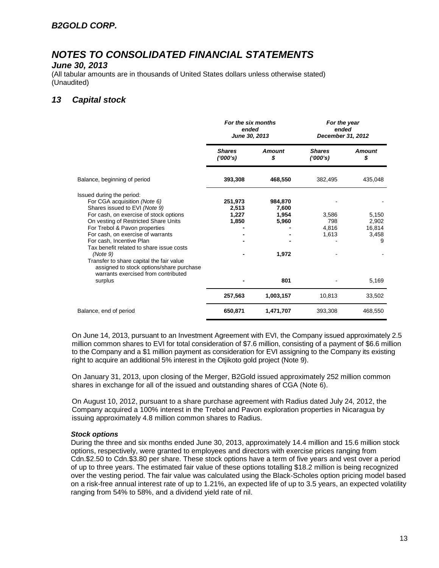#### *June 30, 2013*

(All tabular amounts are in thousands of United States dollars unless otherwise stated) (Unaudited)

## *13 Capital stock*

|                                                                                                                                                                                                                                                                                                                                                                                    | For the six months<br>ended<br>June 30, 2013 |                                             | For the year<br>ended<br>December 31, 2012 |                                        |
|------------------------------------------------------------------------------------------------------------------------------------------------------------------------------------------------------------------------------------------------------------------------------------------------------------------------------------------------------------------------------------|----------------------------------------------|---------------------------------------------|--------------------------------------------|----------------------------------------|
|                                                                                                                                                                                                                                                                                                                                                                                    | <b>Shares</b><br>(000's)                     | <b>Amount</b><br>\$                         | <b>Shares</b><br>(1000's)                  | <b>Amount</b><br>S                     |
| Balance, beginning of period                                                                                                                                                                                                                                                                                                                                                       | 393,308                                      | 468,550                                     | 382,495                                    | 435,048                                |
| Issued during the period:<br>For CGA acquisition (Note 6)<br>Shares issued to EVI (Note 9)<br>For cash, on exercise of stock options<br>On vesting of Restricted Share Units<br>For Trebol & Pavon properties<br>For cash, on exercise of warrants<br>For cash, Incentive Plan<br>Tax benefit related to share issue costs<br>(Note 9)<br>Transfer to share capital the fair value | 251,973<br>2,513<br>1,227<br>1,850           | 984,870<br>7,600<br>1,954<br>5,960<br>1,972 | 3,586<br>798<br>4,816<br>1,613             | 5,150<br>2,902<br>16,814<br>3,458<br>9 |
| assigned to stock options/share purchase<br>warrants exercised from contributed<br>surplus                                                                                                                                                                                                                                                                                         |                                              | 801                                         |                                            | 5,169                                  |
|                                                                                                                                                                                                                                                                                                                                                                                    | 257,563                                      | 1,003,157                                   | 10,813                                     | 33,502                                 |
| Balance, end of period                                                                                                                                                                                                                                                                                                                                                             | 650,871                                      | 1,471,707                                   | 393,308                                    | 468,550                                |

On June 14, 2013, pursuant to an Investment Agreement with EVI, the Company issued approximately 2.5 million common shares to EVI for total consideration of \$7.6 million, consisting of a payment of \$6.6 million to the Company and a \$1 million payment as consideration for EVI assigning to the Company its existing right to acquire an additional 5% interest in the Otjikoto gold project (Note 9).

On January 31, 2013, upon closing of the Merger, B2Gold issued approximately 252 million common shares in exchange for all of the issued and outstanding shares of CGA (Note 6).

On August 10, 2012, pursuant to a share purchase agreement with Radius dated July 24, 2012, the Company acquired a 100% interest in the Trebol and Pavon exploration properties in Nicaragua by issuing approximately 4.8 million common shares to Radius.

#### *Stock options*

During the three and six months ended June 30, 2013, approximately 14.4 million and 15.6 million stock options, respectively, were granted to employees and directors with exercise prices ranging from Cdn.\$2.50 to Cdn.\$3.80 per share. These stock options have a term of five years and vest over a period of up to three years. The estimated fair value of these options totalling \$18.2 million is being recognized over the vesting period. The fair value was calculated using the Black-Scholes option pricing model based on a risk-free annual interest rate of up to 1.21%, an expected life of up to 3.5 years, an expected volatility ranging from 54% to 58%, and a dividend yield rate of nil.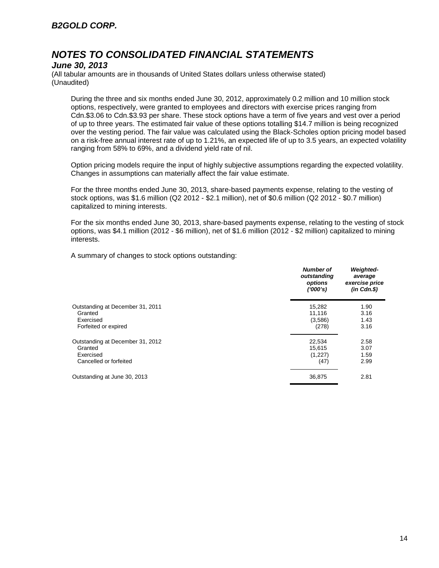### *June 30, 2013*

(All tabular amounts are in thousands of United States dollars unless otherwise stated) (Unaudited)

During the three and six months ended June 30, 2012, approximately 0.2 million and 10 million stock options, respectively, were granted to employees and directors with exercise prices ranging from Cdn.\$3.06 to Cdn.\$3.93 per share. These stock options have a term of five years and vest over a period of up to three years. The estimated fair value of these options totalling \$14.7 million is being recognized over the vesting period. The fair value was calculated using the Black-Scholes option pricing model based on a risk-free annual interest rate of up to 1.21%, an expected life of up to 3.5 years, an expected volatility ranging from 58% to 69%, and a dividend yield rate of nil.

Option pricing models require the input of highly subjective assumptions regarding the expected volatility. Changes in assumptions can materially affect the fair value estimate.

For the three months ended June 30, 2013, share-based payments expense, relating to the vesting of stock options, was \$1.6 million (Q2 2012 - \$2.1 million), net of \$0.6 million (Q2 2012 - \$0.7 million) capitalized to mining interests.

For the six months ended June 30, 2013, share-based payments expense, relating to the vesting of stock options, was \$4.1 million (2012 - \$6 million), net of \$1.6 million (2012 - \$2 million) capitalized to mining interests.

A summary of changes to stock options outstanding:

|                                  | <b>Number of</b><br>outstanding<br>options<br>(1000's) | <b>Weighted-</b><br>average<br>exercise price<br>$(in$ $Cdn.S)$ |
|----------------------------------|--------------------------------------------------------|-----------------------------------------------------------------|
| Outstanding at December 31, 2011 | 15,282                                                 | 1.90                                                            |
| Granted                          | 11,116                                                 | 3.16                                                            |
| Exercised                        | (3,586)                                                | 1.43                                                            |
| Forfeited or expired             | (278)                                                  | 3.16                                                            |
| Outstanding at December 31, 2012 | 22,534                                                 | 2.58                                                            |
| Granted                          | 15.615                                                 | 3.07                                                            |
| Exercised                        | (1,227)                                                | 1.59                                                            |
| Cancelled or forfeited           | (47)                                                   | 2.99                                                            |
| Outstanding at June 30, 2013     | 36,875                                                 | 2.81                                                            |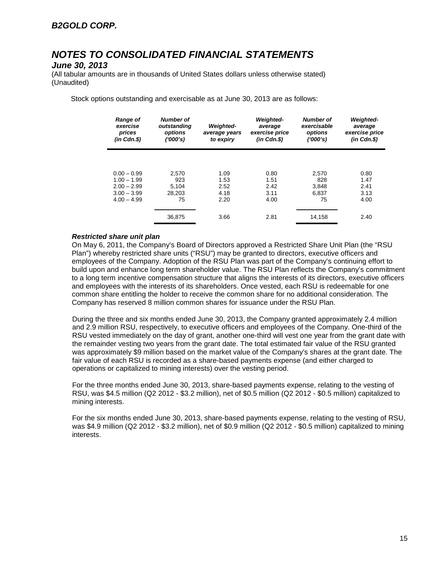### *June 30, 2013*

(All tabular amounts are in thousands of United States dollars unless otherwise stated) (Unaudited)

Stock options outstanding and exercisable as at June 30, 2013 are as follows:

| <b>Range of</b><br>exercise<br>prices<br>$(in$ $Cdn.S)$ | <b>Number of</b><br>outstanding<br>options<br>(1000's) | <b>Weighted-</b><br>average years<br>to expiry | <b>Weighted-</b><br>average<br>exercise price<br>$(in$ $Cdn.S)$ | <b>Number of</b><br>exercisable<br>options<br>('000's) | <b>Weighted-</b><br>average<br>exercise price<br>$(in$ $Cdn.S)$ |
|---------------------------------------------------------|--------------------------------------------------------|------------------------------------------------|-----------------------------------------------------------------|--------------------------------------------------------|-----------------------------------------------------------------|
|                                                         |                                                        |                                                |                                                                 |                                                        |                                                                 |
| $0.00 - 0.99$                                           | 2.570                                                  | 1.09                                           | 0.80                                                            | 2.570                                                  | 0.80                                                            |
| $1.00 - 1.99$                                           | 923                                                    | 1.53                                           | 1.51                                                            | 828                                                    | 1.47                                                            |
| $2.00 - 2.99$                                           | 5.104                                                  | 2.52                                           | 2.42                                                            | 3,848                                                  | 2.41                                                            |
| $3.00 - 3.99$                                           | 28.203                                                 | 4.18                                           | 3.11                                                            | 6.837                                                  | 3.13                                                            |
| $4.00 - 4.99$                                           | 75                                                     | 2.20                                           | 4.00                                                            | 75                                                     | 4.00                                                            |
|                                                         |                                                        |                                                |                                                                 |                                                        |                                                                 |
|                                                         | 36,875                                                 | 3.66                                           | 2.81                                                            | 14,158                                                 | 2.40                                                            |

#### *Restricted share unit plan*

On May 6, 2011, the Company's Board of Directors approved a Restricted Share Unit Plan (the "RSU Plan") whereby restricted share units ("RSU") may be granted to directors, executive officers and employees of the Company. Adoption of the RSU Plan was part of the Company's continuing effort to build upon and enhance long term shareholder value. The RSU Plan reflects the Company's commitment to a long term incentive compensation structure that aligns the interests of its directors, executive officers and employees with the interests of its shareholders. Once vested, each RSU is redeemable for one common share entitling the holder to receive the common share for no additional consideration. The Company has reserved 8 million common shares for issuance under the RSU Plan.

During the three and six months ended June 30, 2013, the Company granted approximately 2.4 million and 2.9 million RSU, respectively, to executive officers and employees of the Company. One-third of the RSU vested immediately on the day of grant, another one-third will vest one year from the grant date with the remainder vesting two years from the grant date. The total estimated fair value of the RSU granted was approximately \$9 million based on the market value of the Company's shares at the grant date. The fair value of each RSU is recorded as a share-based payments expense (and either charged to operations or capitalized to mining interests) over the vesting period.

For the three months ended June 30, 2013, share-based payments expense, relating to the vesting of RSU, was \$4.5 million (Q2 2012 - \$3.2 million), net of \$0.5 million (Q2 2012 - \$0.5 million) capitalized to mining interests.

For the six months ended June 30, 2013, share-based payments expense, relating to the vesting of RSU, was \$4.9 million (Q2 2012 - \$3.2 million), net of \$0.9 million (Q2 2012 - \$0.5 million) capitalized to mining interests.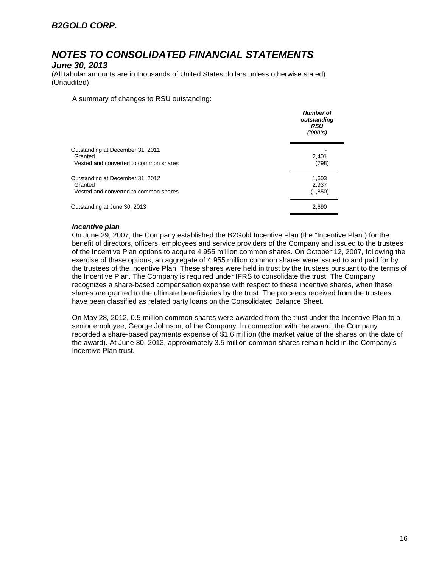### *June 30, 2013*

(All tabular amounts are in thousands of United States dollars unless otherwise stated) (Unaudited)

A summary of changes to RSU outstanding:

|                                                                                      | <b>Number of</b><br>outstanding<br><b>RSU</b><br>(1000's) |
|--------------------------------------------------------------------------------------|-----------------------------------------------------------|
| Outstanding at December 31, 2011<br>Granted<br>Vested and converted to common shares | 2,401<br>(798)                                            |
| Outstanding at December 31, 2012<br>Granted<br>Vested and converted to common shares | 1,603<br>2,937<br>(1,850)                                 |
| Outstanding at June 30, 2013                                                         | 2,690                                                     |

#### *Incentive plan*

On June 29, 2007, the Company established the B2Gold Incentive Plan (the "Incentive Plan") for the benefit of directors, officers, employees and service providers of the Company and issued to the trustees of the Incentive Plan options to acquire 4.955 million common shares. On October 12, 2007, following the exercise of these options, an aggregate of 4.955 million common shares were issued to and paid for by the trustees of the Incentive Plan. These shares were held in trust by the trustees pursuant to the terms of the Incentive Plan. The Company is required under IFRS to consolidate the trust. The Company recognizes a share-based compensation expense with respect to these incentive shares, when these shares are granted to the ultimate beneficiaries by the trust. The proceeds received from the trustees have been classified as related party loans on the Consolidated Balance Sheet.

On May 28, 2012, 0.5 million common shares were awarded from the trust under the Incentive Plan to a senior employee, George Johnson, of the Company. In connection with the award, the Company recorded a share-based payments expense of \$1.6 million (the market value of the shares on the date of the award). At June 30, 2013, approximately 3.5 million common shares remain held in the Company's Incentive Plan trust.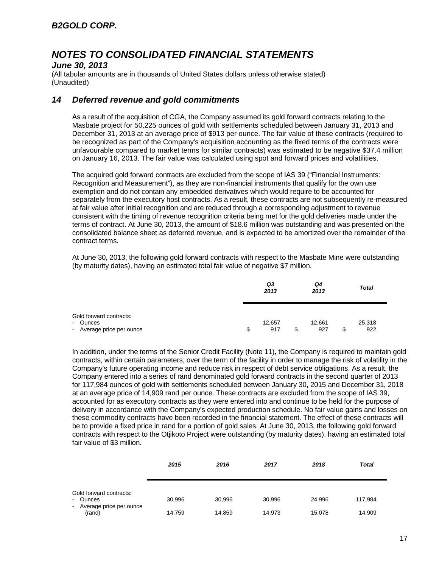### *June 30, 2013*

(All tabular amounts are in thousands of United States dollars unless otherwise stated) (Unaudited)

### *14 Deferred revenue and gold commitments*

As a result of the acquisition of CGA, the Company assumed its gold forward contracts relating to the Masbate project for 50,225 ounces of gold with settlements scheduled between January 31, 2013 and December 31, 2013 at an average price of \$913 per ounce. The fair value of these contracts (required to be recognized as part of the Company's acquisition accounting as the fixed terms of the contracts were unfavourable compared to market terms for similar contracts) was estimated to be negative \$37.4 million on January 16, 2013. The fair value was calculated using spot and forward prices and volatilities.

The acquired gold forward contracts are excluded from the scope of IAS 39 ("Financial Instruments: Recognition and Measurement"), as they are non-financial instruments that qualify for the own use exemption and do not contain any embedded derivatives which would require to be accounted for separately from the executory host contracts. As a result, these contracts are not subsequently re-measured at fair value after initial recognition and are reduced through a corresponding adjustment to revenue consistent with the timing of revenue recognition criteria being met for the gold deliveries made under the terms of contract. At June 30, 2013, the amount of \$18.6 million was outstanding and was presented on the consolidated balance sheet as deferred revenue, and is expected to be amortized over the remainder of the contract terms.

At June 30, 2013, the following gold forward contracts with respect to the Masbate Mine were outstanding (by maturity dates), having an estimated total fair value of negative \$7 million.

|                                                                  | Q3<br>2013          |   | Q4<br>2013    |   | <b>Total</b>  |
|------------------------------------------------------------------|---------------------|---|---------------|---|---------------|
| Gold forward contracts:<br>- Ounces<br>- Average price per ounce | \$<br>12,657<br>917 | S | 12,661<br>927 | S | 25,318<br>922 |

In addition, under the terms of the Senior Credit Facility (Note 11), the Company is required to maintain gold contracts, within certain parameters, over the term of the facility in order to manage the risk of volatility in the Company's future operating income and reduce risk in respect of debt service obligations. As a result, the Company entered into a series of rand denominated gold forward contracts in the second quarter of 2013 for 117,984 ounces of gold with settlements scheduled between January 30, 2015 and December 31, 2018 at an average price of 14,909 rand per ounce. These contracts are excluded from the scope of IAS 39, accounted for as executory contracts as they were entered into and continue to be held for the purpose of delivery in accordance with the Company's expected production schedule. No fair value gains and losses on these commodity contracts have been recorded in the financial statement. The effect of these contracts will be to provide a fixed price in rand for a portion of gold sales. At June 30, 2013, the following gold forward contracts with respect to the Otjikoto Project were outstanding (by maturity dates), having an estimated total fair value of \$3 million.

|                                                                            | 2015             | 2016             | 2017             | 2018             | <b>Total</b>      |
|----------------------------------------------------------------------------|------------------|------------------|------------------|------------------|-------------------|
| Gold forward contracts:<br>- Ounces<br>- Average price per ounce<br>(rand) | 30,996<br>14,759 | 30,996<br>14,859 | 30,996<br>14,973 | 24.996<br>15.078 | 117,984<br>14,909 |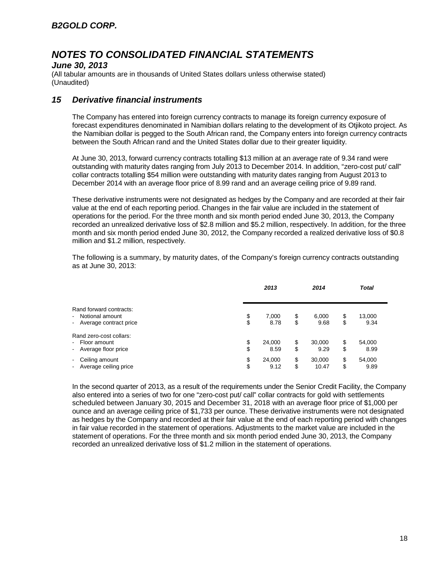### *June 30, 2013*

(All tabular amounts are in thousands of United States dollars unless otherwise stated) (Unaudited)

### *15 Derivative financial instruments*

The Company has entered into foreign currency contracts to manage its foreign currency exposure of forecast expenditures denominated in Namibian dollars relating to the development of its Otjikoto project. As the Namibian dollar is pegged to the South African rand, the Company enters into foreign currency contracts between the South African rand and the United States dollar due to their greater liquidity.

At June 30, 2013, forward currency contracts totalling \$13 million at an average rate of 9.34 rand were outstanding with maturity dates ranging from July 2013 to December 2014. In addition, "zero-cost put/ call" collar contracts totalling \$54 million were outstanding with maturity dates ranging from August 2013 to December 2014 with an average floor price of 8.99 rand and an average ceiling price of 9.89 rand.

These derivative instruments were not designated as hedges by the Company and are recorded at their fair value at the end of each reporting period. Changes in the fair value are included in the statement of operations for the period. For the three month and six month period ended June 30, 2013, the Company recorded an unrealized derivative loss of \$2.8 million and \$5.2 million, respectively. In addition, for the three month and six month period ended June 30, 2012, the Company recorded a realized derivative loss of \$0.8 million and \$1.2 million, respectively.

The following is a summary, by maturity dates, of the Company's foreign currency contracts outstanding as at June 30, 2013:

|                                                                                          |          | 2013           |          | 2014            |          | <b>Total</b>   |
|------------------------------------------------------------------------------------------|----------|----------------|----------|-----------------|----------|----------------|
| Rand forward contracts:<br>Notional amount<br>$\blacksquare$<br>- Average contract price | \$<br>\$ | 7,000<br>8.78  | \$<br>\$ | 6,000<br>9.68   | \$<br>\$ | 13,000<br>9.34 |
| Rand zero-cost collars:<br>Floor amount<br>$\sim$<br>Average floor price<br>$\sim$       | \$<br>\$ | 24,000<br>8.59 | \$<br>\$ | 30,000<br>9.29  | \$<br>\$ | 54,000<br>8.99 |
| Ceiling amount<br>$\overline{\phantom{a}}$<br>Average ceiling price<br>$\blacksquare$    | \$<br>\$ | 24,000<br>9.12 | \$<br>\$ | 30,000<br>10.47 | \$<br>\$ | 54,000<br>9.89 |

In the second quarter of 2013, as a result of the requirements under the Senior Credit Facility, the Company also entered into a series of two for one "zero-cost put/ call" collar contracts for gold with settlements scheduled between January 30, 2015 and December 31, 2018 with an average floor price of \$1,000 per ounce and an average ceiling price of \$1,733 per ounce. These derivative instruments were not designated as hedges by the Company and recorded at their fair value at the end of each reporting period with changes in fair value recorded in the statement of operations. Adjustments to the market value are included in the statement of operations. For the three month and six month period ended June 30, 2013, the Company recorded an unrealized derivative loss of \$1.2 million in the statement of operations.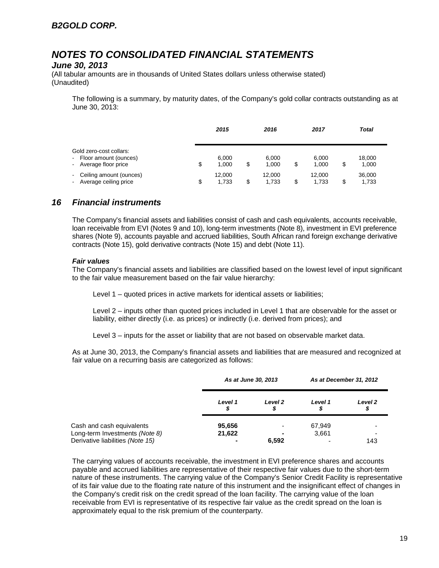### *June 30, 2013*

(All tabular amounts are in thousands of United States dollars unless otherwise stated) (Unaudited)

The following is a summary, by maturity dates, of the Company's gold collar contracts outstanding as at June 30, 2013:

|                                                                             | 2015                  |    | 2016            |    | 2017            | Total                 |  |
|-----------------------------------------------------------------------------|-----------------------|----|-----------------|----|-----------------|-----------------------|--|
| Gold zero-cost collars:<br>- Floor amount (ounces)<br>- Average floor price | \$<br>6.000<br>1.000  | \$ | 6.000<br>1.000  | \$ | 6,000<br>1,000  | \$<br>18,000<br>1,000 |  |
| - Ceiling amount (ounces)<br>- Average ceiling price                        | \$<br>12.000<br>1.733 | S  | 12.000<br>1,733 | S  | 12.000<br>1,733 | \$<br>36,000<br>1,733 |  |

## *16 Financial instruments*

The Company's financial assets and liabilities consist of cash and cash equivalents, accounts receivable, loan receivable from EVI (Notes 9 and 10), long-term investments (Note 8), investment in EVI preference shares (Note 9), accounts payable and accrued liabilities, South African rand foreign exchange derivative contracts (Note 15), gold derivative contracts (Note 15) and debt (Note 11).

#### *Fair values*

The Company's financial assets and liabilities are classified based on the lowest level of input significant to the fair value measurement based on the fair value hierarchy:

Level 1 – quoted prices in active markets for identical assets or liabilities;

Level 2 – inputs other than quoted prices included in Level 1 that are observable for the asset or liability, either directly (i.e. as prices) or indirectly (i.e. derived from prices); and

Level 3 – inputs for the asset or liability that are not based on observable market data.

As at June 30, 2013, the Company's financial assets and liabilities that are measured and recognized at fair value on a recurring basis are categorized as follows:

|                                  | As at June 30, 2013 |                          | As at December 31, 2012 |              |
|----------------------------------|---------------------|--------------------------|-------------------------|--------------|
|                                  | Level 1<br>S        | Level 2                  | Level 1<br>S            | Level 2<br>⊅ |
| Cash and cash equivalents        | 95,656              | $\overline{\phantom{a}}$ | 67,949                  | ۰            |
| Long-term Investments (Note 8)   | 21,622              |                          | 3,661                   | ۰            |
| Derivative liabilities (Note 15) |                     | 6,592                    |                         | 143          |

The carrying values of accounts receivable, the investment in EVI preference shares and accounts payable and accrued liabilities are representative of their respective fair values due to the short-term nature of these instruments. The carrying value of the Company's Senior Credit Facility is representative of its fair value due to the floating rate nature of this instrument and the insignificant effect of changes in the Company's credit risk on the credit spread of the loan facility. The carrying value of the loan receivable from EVI is representative of its respective fair value as the credit spread on the loan is approximately equal to the risk premium of the counterparty.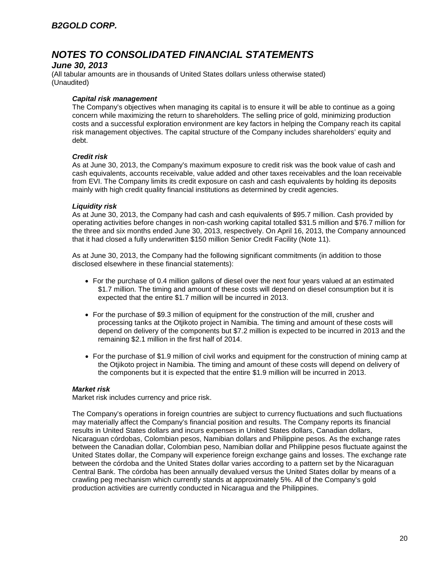### *June 30, 2013*

(All tabular amounts are in thousands of United States dollars unless otherwise stated) (Unaudited)

#### *Capital risk management*

The Company's objectives when managing its capital is to ensure it will be able to continue as a going concern while maximizing the return to shareholders. The selling price of gold, minimizing production costs and a successful exploration environment are key factors in helping the Company reach its capital risk management objectives. The capital structure of the Company includes shareholders' equity and debt.

#### *Credit risk*

As at June 30, 2013, the Company's maximum exposure to credit risk was the book value of cash and cash equivalents, accounts receivable, value added and other taxes receivables and the loan receivable from EVI. The Company limits its credit exposure on cash and cash equivalents by holding its deposits mainly with high credit quality financial institutions as determined by credit agencies.

#### *Liquidity risk*

As at June 30, 2013, the Company had cash and cash equivalents of \$95.7 million. Cash provided by operating activities before changes in non-cash working capital totalled \$31.5 million and \$76.7 million for the three and six months ended June 30, 2013, respectively. On April 16, 2013, the Company announced that it had closed a fully underwritten \$150 million Senior Credit Facility (Note 11).

As at June 30, 2013, the Company had the following significant commitments (in addition to those disclosed elsewhere in these financial statements):

- For the purchase of 0.4 million gallons of diesel over the next four years valued at an estimated \$1.7 million. The timing and amount of these costs will depend on diesel consumption but it is expected that the entire \$1.7 million will be incurred in 2013.
- For the purchase of \$9.3 million of equipment for the construction of the mill, crusher and processing tanks at the Otjikoto project in Namibia. The timing and amount of these costs will depend on delivery of the components but \$7.2 million is expected to be incurred in 2013 and the remaining \$2.1 million in the first half of 2014.
- For the purchase of \$1.9 million of civil works and equipment for the construction of mining camp at the Otjikoto project in Namibia. The timing and amount of these costs will depend on delivery of the components but it is expected that the entire \$1.9 million will be incurred in 2013.

### *Market risk*

Market risk includes currency and price risk.

The Company's operations in foreign countries are subject to currency fluctuations and such fluctuations may materially affect the Company's financial position and results. The Company reports its financial results in United States dollars and incurs expenses in United States dollars, Canadian dollars, Nicaraguan córdobas, Colombian pesos, Namibian dollars and Philippine pesos. As the exchange rates between the Canadian dollar, Colombian peso, Namibian dollar and Philippine pesos fluctuate against the United States dollar, the Company will experience foreign exchange gains and losses. The exchange rate between the córdoba and the United States dollar varies according to a pattern set by the Nicaraguan Central Bank. The córdoba has been annually devalued versus the United States dollar by means of a crawling peg mechanism which currently stands at approximately 5%. All of the Company's gold production activities are currently conducted in Nicaragua and the Philippines.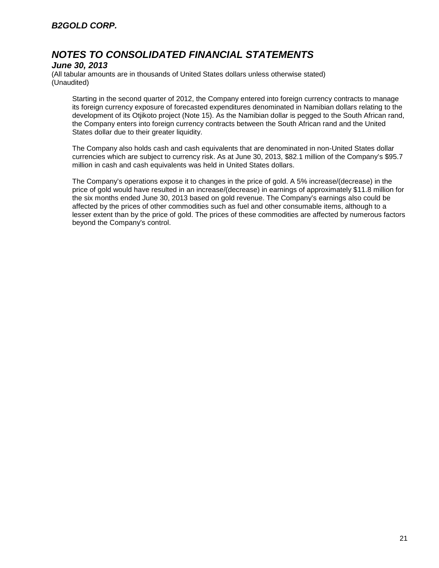### *June 30, 2013*

(All tabular amounts are in thousands of United States dollars unless otherwise stated) (Unaudited)

Starting in the second quarter of 2012, the Company entered into foreign currency contracts to manage its foreign currency exposure of forecasted expenditures denominated in Namibian dollars relating to the development of its Otjikoto project (Note 15). As the Namibian dollar is pegged to the South African rand, the Company enters into foreign currency contracts between the South African rand and the United States dollar due to their greater liquidity.

The Company also holds cash and cash equivalents that are denominated in non-United States dollar currencies which are subject to currency risk. As at June 30, 2013, \$82.1 million of the Company's \$95.7 million in cash and cash equivalents was held in United States dollars.

The Company's operations expose it to changes in the price of gold. A 5% increase/(decrease) in the price of gold would have resulted in an increase/(decrease) in earnings of approximately \$11.8 million for the six months ended June 30, 2013 based on gold revenue. The Company's earnings also could be affected by the prices of other commodities such as fuel and other consumable items, although to a lesser extent than by the price of gold. The prices of these commodities are affected by numerous factors beyond the Company's control.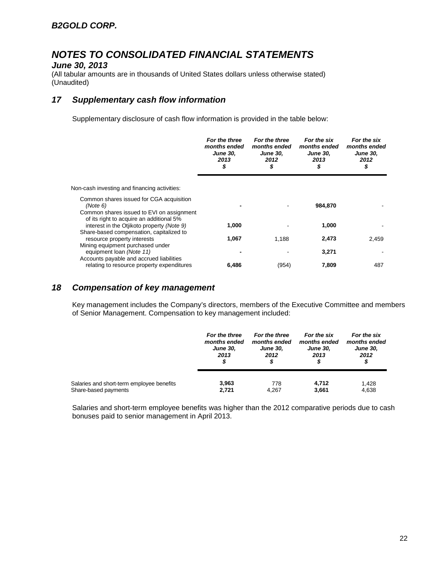### *June 30, 2013*

(All tabular amounts are in thousands of United States dollars unless otherwise stated) (Unaudited)

## *17 Supplementary cash flow information*

Supplementary disclosure of cash flow information is provided in the table below:

|                                                                                                   | For the three<br>months ended<br><b>June 30,</b><br>2013<br>\$ | For the three<br>months ended<br><b>June 30,</b><br>2012<br>\$ | For the six<br>months ended<br><b>June 30,</b><br>2013<br>\$ | For the six<br>months ended<br><b>June 30,</b><br>2012<br>\$ |
|---------------------------------------------------------------------------------------------------|----------------------------------------------------------------|----------------------------------------------------------------|--------------------------------------------------------------|--------------------------------------------------------------|
| Non-cash investing and financing activities:                                                      |                                                                |                                                                |                                                              |                                                              |
| Common shares issued for CGA acquisition<br>(Note 6)<br>Common shares issued to EVI on assignment |                                                                |                                                                | 984,870                                                      |                                                              |
| of its right to acquire an additional 5%<br>interest in the Otjikoto property (Note 9)            | 1,000                                                          |                                                                | 1,000                                                        |                                                              |
| Share-based compensation, capitalized to<br>resource property interests                           | 1,067                                                          | 1.188                                                          | 2,473                                                        | 2.459                                                        |
| Mining equipment purchased under<br>equipment loan (Note 11)                                      |                                                                |                                                                | 3,271                                                        |                                                              |
| Accounts payable and accrued liabilities<br>relating to resource property expenditures            | 6,486                                                          | (954)                                                          | 7.809                                                        | 487                                                          |

## *18 Compensation of key management*

Key management includes the Company's directors, members of the Executive Committee and members of Senior Management. Compensation to key management included:

|                                           | For the three<br>months ended<br><b>June 30,</b><br>2013<br>\$ | For the three<br>months ended<br><b>June 30,</b><br>2012 | For the six<br>months ended<br><b>June 30,</b><br>2013<br>\$ | For the six<br>months ended<br><b>June 30,</b><br>2012<br>\$ |
|-------------------------------------------|----------------------------------------------------------------|----------------------------------------------------------|--------------------------------------------------------------|--------------------------------------------------------------|
| Salaries and short-term employee benefits | 3.963                                                          | 778                                                      | 4.712                                                        | 1.428                                                        |
| Share-based payments                      | 2.721                                                          | 4,267                                                    | 3,661                                                        | 4,638                                                        |

Salaries and short-term employee benefits was higher than the 2012 comparative periods due to cash bonuses paid to senior management in April 2013.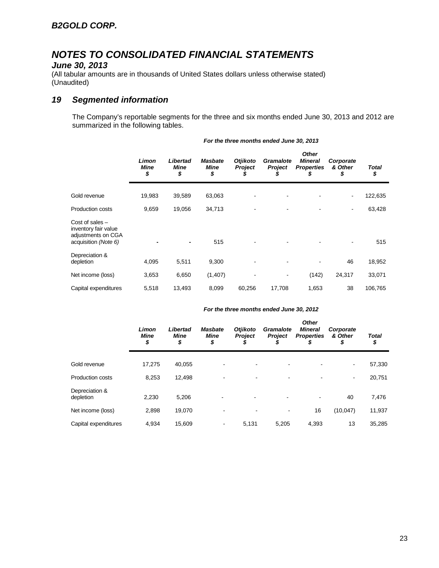### *June 30, 2013*

(All tabular amounts are in thousands of United States dollars unless otherwise stated) (Unaudited)

## *19 Segmented information*

The Company's reportable segments for the three and six months ended June 30, 2013 and 2012 are summarized in the following tables.

|                                                                                         | Limon<br><b>Mine</b><br>\$ | Libertad<br><b>Mine</b><br>\$ | <b>Masbate</b><br><b>Mine</b><br>\$ | <b>Otjikoto</b><br><b>Project</b><br>S | Gramalote<br><b>Project</b><br>\$ | <b>Other</b><br><b>Mineral</b><br><b>Properties</b><br>\$ | Corporate<br>& Other<br>\$ | Total<br>\$ |
|-----------------------------------------------------------------------------------------|----------------------------|-------------------------------|-------------------------------------|----------------------------------------|-----------------------------------|-----------------------------------------------------------|----------------------------|-------------|
| Gold revenue                                                                            | 19,983                     | 39,589                        | 63,063                              |                                        |                                   |                                                           | ۰                          | 122,635     |
| <b>Production costs</b>                                                                 | 9,659                      | 19,056                        | 34,713                              |                                        |                                   |                                                           | $\overline{\phantom{a}}$   | 63,428      |
| Cost of sales $-$<br>inventory fair value<br>adjustments on CGA<br>acquisition (Note 6) |                            |                               | 515                                 |                                        |                                   |                                                           |                            | 515         |
| Depreciation &<br>depletion                                                             | 4,095                      | 5,511                         | 9,300                               |                                        |                                   |                                                           | 46                         | 18,952      |
| Net income (loss)                                                                       | 3,653                      | 6,650                         | (1, 407)                            |                                        |                                   | (142)                                                     | 24,317                     | 33,071      |
| Capital expenditures                                                                    | 5,518                      | 13,493                        | 8,099                               | 60,256                                 | 17,708                            | 1,653                                                     | 38                         | 106,765     |

#### *For the three months ended June 30, 2013*

#### *For the three months ended June 30, 2012*

|                             | Limon<br><b>Mine</b><br>\$ | Libertad<br><b>Mine</b><br>\$ | <b>Masbate</b><br><b>Mine</b><br>\$ | <b>Otjikoto</b><br>Project | Gramalote<br><b>Project</b> | <b>Other</b><br><b>Mineral</b><br><b>Properties</b><br>\$ | Corporate<br>& Other<br>\$ | <b>Total</b><br>\$ |
|-----------------------------|----------------------------|-------------------------------|-------------------------------------|----------------------------|-----------------------------|-----------------------------------------------------------|----------------------------|--------------------|
| Gold revenue                | 17.275                     | 40,055                        |                                     | -                          |                             |                                                           | ۰                          | 57,330             |
| <b>Production costs</b>     | 8,253                      | 12,498                        |                                     | -                          |                             |                                                           | ٠                          | 20,751             |
| Depreciation &<br>depletion | 2,230                      | 5,206                         | $\blacksquare$                      |                            |                             | $\blacksquare$                                            | 40                         | 7,476              |
| Net income (loss)           | 2,898                      | 19,070                        |                                     | $\blacksquare$             |                             | 16                                                        | (10,047)                   | 11,937             |
| Capital expenditures        | 4.934                      | 15,609                        |                                     | 5,131                      | 5,205                       | 4,393                                                     | 13                         | 35,285             |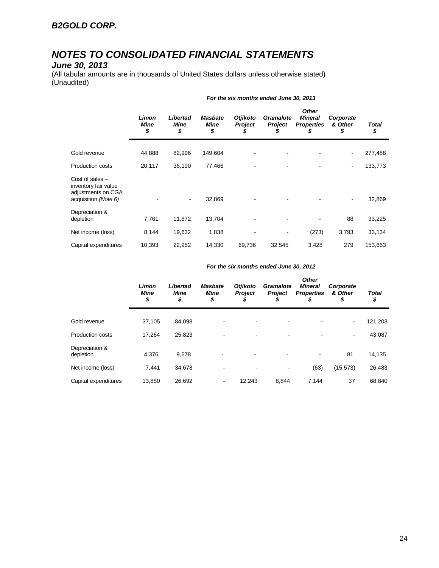#### *June 30, 2013*

(All tabular amounts are in thousands of United States dollars unless otherwise stated) (Unaudited)

|                                                                                         | Limon<br><b>Mine</b><br>\$ | Libertad<br>Mine<br>\$ | <b>Masbate</b><br><b>Mine</b><br>\$ | <b>Otjikoto</b><br><b>Project</b><br>y, | Gramalote<br>Project<br>5 | <b>Other</b><br><b>Mineral</b><br><b>Properties</b><br>\$ | Corporate<br>& Other<br>\$ | Total<br>\$ |
|-----------------------------------------------------------------------------------------|----------------------------|------------------------|-------------------------------------|-----------------------------------------|---------------------------|-----------------------------------------------------------|----------------------------|-------------|
| Gold revenue                                                                            | 44,888                     | 82,996                 | 149,604                             |                                         |                           |                                                           | $\overline{\phantom{a}}$   | 277,488     |
| <b>Production costs</b>                                                                 | 20,117                     | 36,190                 | 77,466                              |                                         |                           |                                                           | $\overline{\phantom{a}}$   | 133,773     |
| Cost of sales $-$<br>inventory fair value<br>adjustments on CGA<br>acquisition (Note 6) |                            | ۰                      | 32,869                              |                                         |                           |                                                           | $\overline{\phantom{a}}$   | 32,869      |
| Depreciation &<br>depletion                                                             | 7,761                      | 11,672                 | 13,704                              |                                         |                           |                                                           | 88                         | 33,225      |
| Net income (loss)                                                                       | 8,144                      | 19,632                 | 1,838                               |                                         |                           | (273)                                                     | 3,793                      | 33,134      |
| Capital expenditures                                                                    | 10,393                     | 22,952                 | 14,330                              | 69,736                                  | 32,545                    | 3,428                                                     | 279                        | 153,663     |

#### *For the six months ended June 30, 2013*

|  | For the six months ended June 30, 2012 |
|--|----------------------------------------|
|--|----------------------------------------|

|                             | Limon<br><b>Mine</b><br>\$ | Libertad<br>Mine<br>\$ | <b>Masbate</b><br><b>Mine</b><br>\$ | <b>Otjikoto</b><br><b>Project</b><br>D | <b>Gramalote</b><br><b>Project</b> | <b>Other</b><br><b>Mineral</b><br><b>Properties</b><br>\$ | Corporate<br>& Other<br>\$ | <b>Total</b><br>\$ |
|-----------------------------|----------------------------|------------------------|-------------------------------------|----------------------------------------|------------------------------------|-----------------------------------------------------------|----------------------------|--------------------|
| Gold revenue                | 37,105                     | 84,098                 |                                     |                                        | -                                  |                                                           | $\overline{\phantom{a}}$   | 121,203            |
| Production costs            | 17.264                     | 25,823                 |                                     |                                        |                                    |                                                           | $\overline{\phantom{a}}$   | 43,087             |
| Depreciation &<br>depletion | 4,376                      | 9,678                  |                                     |                                        |                                    |                                                           | 81                         | 14,135             |
| Net income (loss)           | 7,441                      | 34,678                 |                                     |                                        | $\blacksquare$                     | (63)                                                      | (15, 573)                  | 26,483             |
| Capital expenditures        | 13.880                     | 26,692                 | ٠                                   | 12.243                                 | 8.844                              | 7.144                                                     | 37                         | 68,840             |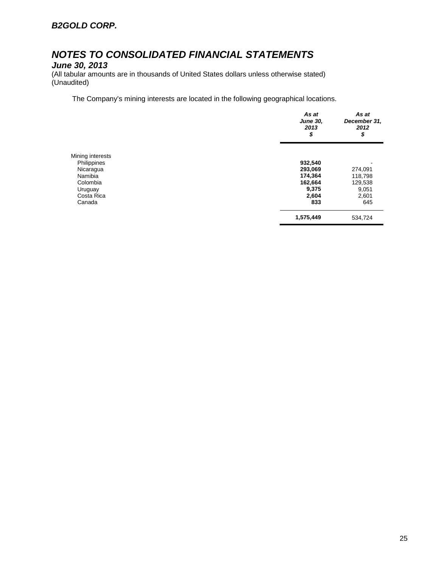*June 30, 2013*

(All tabular amounts are in thousands of United States dollars unless otherwise stated) (Unaudited)

The Company's mining interests are located in the following geographical locations.

|                  | As at<br><b>June 30,</b><br>2013<br>\$ | As at<br>December 31,<br>2012<br>\$ |
|------------------|----------------------------------------|-------------------------------------|
| Mining interests |                                        |                                     |
| Philippines      | 932,540                                |                                     |
| Nicaragua        | 293,069                                | 274,091                             |
| Namibia          | 174,364                                | 118,798                             |
| Colombia         | 162,664                                | 129,538                             |
| Uruguay          | 9,375                                  | 9,051                               |
| Costa Rica       | 2,604                                  | 2,601                               |
| Canada           | 833                                    | 645                                 |
|                  | 1,575,449                              | 534,724                             |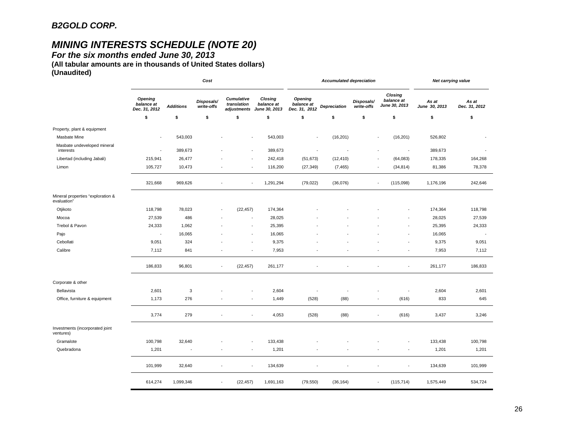# *MINING INTERESTS SCHEDULE (NOTE 20)*

*For the six months ended June 30, 2013* 

**(All tabular amounts are in thousands of United States dollars) (Unaudited)**

|                                                  | Cost                                          |                  |                          |                                          | <b>Accumulated depreciation</b>        |                                               |                     |                          | Net carrying value                     |                        |                        |
|--------------------------------------------------|-----------------------------------------------|------------------|--------------------------|------------------------------------------|----------------------------------------|-----------------------------------------------|---------------------|--------------------------|----------------------------------------|------------------------|------------------------|
|                                                  | <b>Opening</b><br>balance at<br>Dec. 31, 2012 | <b>Additions</b> | Disposals/<br>write-offs | Cumulative<br>translation<br>adjustments | Closing<br>balance at<br>June 30, 2013 | <b>Opening</b><br>balance at<br>Dec. 31, 2012 | <b>Depreciation</b> | Disposals/<br>write-offs | Closing<br>balance at<br>June 30, 2013 | As at<br>June 30, 2013 | As at<br>Dec. 31, 2012 |
|                                                  | \$                                            | \$               | \$                       | \$                                       | \$                                     | \$                                            | \$                  | \$                       | \$                                     | \$                     | \$                     |
| Property, plant & equipment                      |                                               |                  |                          |                                          |                                        |                                               |                     |                          |                                        |                        |                        |
| <b>Masbate Mine</b>                              | $\blacksquare$                                | 543,003          |                          |                                          | 543,003                                | ÷,                                            | (16, 201)           |                          | (16, 201)                              | 526,802                |                        |
| Masbate undeveloped mineral<br>interests         | $\overline{\phantom{a}}$                      | 389,673          |                          |                                          | 389,673                                | ÷,                                            |                     |                          | ÷,                                     | 389,673                |                        |
| Libertad (including Jabali)                      | 215,941                                       | 26,477           |                          |                                          | 242,418                                | (51, 673)                                     | (12, 410)           |                          | (64,083)                               | 178,335                | 164,268                |
| Limon                                            | 105,727                                       | 10,473           |                          |                                          | 116,200                                | (27, 349)                                     | (7, 465)            |                          | (34, 814)                              | 81,386                 | 78,378                 |
|                                                  | 321,668                                       | 969,626          |                          | ÷<br>$\overline{\phantom{a}}$            | 1,291,294                              | (79, 022)                                     | (36,076)            |                          | (115,098)                              | 1,176,196              | 242,646                |
| Mineral properties "exploration &<br>evaluation" |                                               |                  |                          |                                          |                                        |                                               |                     |                          |                                        |                        |                        |
| Otjikoto                                         | 118,798                                       | 78,023           |                          | (22, 457)<br>$\overline{\phantom{a}}$    | 174,364                                |                                               |                     |                          |                                        | 174,364                | 118,798                |
| Mocoa                                            | 27,539                                        | 486              |                          |                                          | 28,025                                 |                                               |                     |                          |                                        | 28,025                 | 27,539                 |
| Trebol & Pavon                                   | 24,333                                        | 1,062            |                          |                                          | 25,395                                 |                                               |                     |                          |                                        | 25,395                 | 24,333                 |
| Pajo                                             | $\sim$                                        | 16,065           |                          |                                          | 16,065                                 |                                               |                     |                          |                                        | 16,065                 |                        |
| Cebollati                                        | 9,051                                         | 324              |                          |                                          | 9,375                                  |                                               |                     |                          |                                        | 9,375                  | 9,051                  |
| Calibre                                          | 7,112                                         | 841              |                          | $\overline{\phantom{a}}$                 | 7,953                                  |                                               |                     |                          | ÷                                      | 7,953                  | 7,112                  |
|                                                  | 186,833                                       | 96,801           |                          | (22, 457)<br>$\sim$                      | 261,177                                |                                               |                     |                          | ÷,                                     | 261,177                | 186,833                |
| Corporate & other                                |                                               |                  |                          |                                          |                                        |                                               |                     |                          |                                        |                        |                        |
| Bellavista                                       | 2,601                                         | 3                |                          |                                          | 2,604                                  |                                               |                     |                          | $\overline{\phantom{a}}$               | 2,604                  | 2,601                  |
| Office, furniture & equipment                    | 1,173                                         | 276              |                          |                                          | 1,449<br>$\overline{\phantom{a}}$      | (528)                                         | (88)                |                          | (616)                                  | 833                    | 645                    |
|                                                  | 3,774                                         | 279              |                          |                                          | 4,053<br>$\blacksquare$                | (528)                                         | (88)                |                          | (616)<br>$\overline{\phantom{a}}$      | 3,437                  | 3,246                  |
| Investments (incorporated joint<br>ventures)     |                                               |                  |                          |                                          |                                        |                                               |                     |                          |                                        |                        |                        |
| Gramalote                                        | 100,798                                       | 32,640           |                          |                                          | 133,438                                |                                               |                     |                          |                                        | 133,438                | 100,798                |
| Quebradona                                       | 1,201                                         | ÷                |                          |                                          | 1,201                                  |                                               |                     |                          | $\overline{\phantom{a}}$               | 1,201                  | 1,201                  |
|                                                  | 101,999                                       | 32,640           | $\overline{\phantom{a}}$ | $\overline{\phantom{a}}$                 | 134,639                                |                                               | ÷,                  |                          | $\blacksquare$                         | 134,639                | 101,999                |
|                                                  | 614,274                                       | 1,099,346        |                          | (22, 457)<br>$\overline{\phantom{a}}$    | 1,691,163                              | (79, 550)                                     | (36, 164)           |                          | (115, 714)<br>$\overline{\phantom{a}}$ | 1,575,449              | 534,724                |